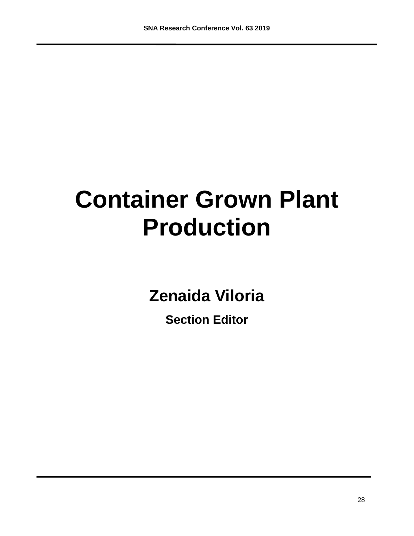# **Container Grown Plant Production**

**Zenaida Viloria**

**Section Editor**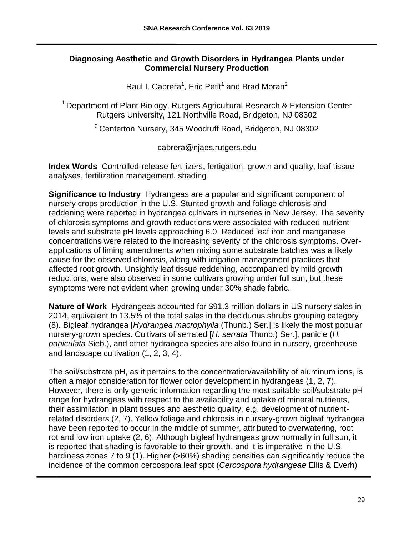# **Diagnosing Aesthetic and Growth Disorders in Hydrangea Plants under Commercial Nursery Production**

Raul I. Cabrera<sup>1</sup>, Eric Petit<sup>1</sup> and Brad Moran<sup>2</sup>

<sup>1</sup> Department of Plant Biology, Rutgers Agricultural Research & Extension Center Rutgers University, 121 Northville Road, Bridgeton, NJ 08302

<sup>2</sup>Centerton Nursery, 345 Woodruff Road, Bridgeton, NJ 08302

cabrera@njaes.rutgers.edu

**Index Words** Controlled-release fertilizers, fertigation, growth and quality, leaf tissue analyses, fertilization management, shading

**Significance to Industry** Hydrangeas are a popular and significant component of nursery crops production in the U.S. Stunted growth and foliage chlorosis and reddening were reported in hydrangea cultivars in nurseries in New Jersey. The severity of chlorosis symptoms and growth reductions were associated with reduced nutrient levels and substrate pH levels approaching 6.0. Reduced leaf iron and manganese concentrations were related to the increasing severity of the chlorosis symptoms. Overapplications of liming amendments when mixing some substrate batches was a likely cause for the observed chlorosis, along with irrigation management practices that affected root growth. Unsightly leaf tissue reddening, accompanied by mild growth reductions, were also observed in some cultivars growing under full sun, but these symptoms were not evident when growing under 30% shade fabric.

**Nature of Work** Hydrangeas accounted for \$91.3 million dollars in US nursery sales in 2014, equivalent to 13.5% of the total sales in the deciduous shrubs grouping category (8). Bigleaf hydrangea [*Hydrangea macrophylla* (Thunb.) Ser.] is likely the most popular nursery-grown species. Cultivars of serrated [*H. serrata* Thunb.) Ser.], panicle (*H. paniculata* Sieb.), and other hydrangea species are also found in nursery, greenhouse and landscape cultivation (1, 2, 3, 4).

The soil/substrate pH, as it pertains to the concentration/availability of aluminum ions, is often a major consideration for flower color development in hydrangeas (1, 2, 7). However, there is only generic information regarding the most suitable soil/substrate pH range for hydrangeas with respect to the availability and uptake of mineral nutrients, their assimilation in plant tissues and aesthetic quality, e.g. development of nutrientrelated disorders (2, 7). Yellow foliage and chlorosis in nursery-grown bigleaf hydrangea have been reported to occur in the middle of summer, attributed to overwatering, root rot and low iron uptake (2, 6). Although bigleaf hydrangeas grow normally in full sun, it is reported that shading is favorable to their growth, and it is imperative in the U.S. hardiness zones 7 to 9 (1). Higher (>60%) shading densities can significantly reduce the incidence of the common cercospora leaf spot (*Cercospora hydrangeae* Ellis & Everh)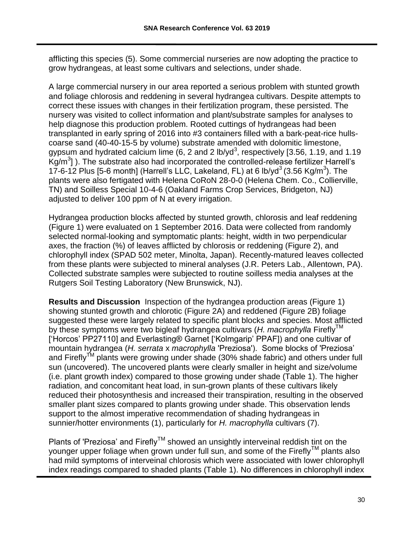afflicting this species (5). Some commercial nurseries are now adopting the practice to grow hydrangeas, at least some cultivars and selections, under shade.

A large commercial nursery in our area reported a serious problem with stunted growth and foliage chlorosis and reddening in several hydrangea cultivars. Despite attempts to correct these issues with changes in their fertilization program, these persisted. The nursery was visited to collect information and plant/substrate samples for analyses to help diagnose this production problem. Rooted cuttings of hydrangeas had been transplanted in early spring of 2016 into #3 containers filled with a bark-peat-rice hullscoarse sand (40-40-15-5 by volume) substrate amended with dolomitic limestone, gypsum and hydrated calcium lime (6, 2 and 2 lb/yd<sup>3</sup>, respectively [3.56, 1.19, and 1.19  $\text{Kg/m}^3$ ]). The substrate also had incorporated the controlled-release fertilizer Harrell's 17-6-12 Plus [5-6 month] (Harrell's LLC, Lakeland, FL) at 6 lb/yd<sup>3</sup> (3.56 Kg/m<sup>3</sup>). The plants were also fertigated with Helena CoRoN 28-0-0 (Helena Chem. Co., Collierville, TN) and Soilless Special 10-4-6 (Oakland Farms Crop Services, Bridgeton, NJ) adjusted to deliver 100 ppm of N at every irrigation.

Hydrangea production blocks affected by stunted growth, chlorosis and leaf reddening (Figure 1) were evaluated on 1 September 2016. Data were collected from randomly selected normal-looking and symptomatic plants: height, width in two perpendicular axes, the fraction (%) of leaves afflicted by chlorosis or reddening (Figure 2), and chlorophyll index (SPAD 502 meter, Minolta, Japan). Recently-matured leaves collected from these plants were subjected to mineral analyses (J.R. Peters Lab., Allentown, PA). Collected substrate samples were subjected to routine soilless media analyses at the Rutgers Soil Testing Laboratory (New Brunswick, NJ).

**Results and Discussion** Inspection of the hydrangea production areas (Figure 1) showing stunted growth and chlorotic (Figure 2A) and reddened (Figure 2B) foliage suggested these were largely related to specific plant blocks and species. Most afflicted by these symptoms were two bigleaf hydrangea cultivars (*H. macrophylla* Firefly<sup>IM</sup> ['Horcos' PP27110] and Everlasting® Garnet ['Kolmgarip' PPAF]) and one cultivar of mountain hydrangea (*H. serrata* x *macrophylla* 'Preziosa'). Some blocks of 'Preziosa' and Firefly<sup>TM</sup> plants were growing under shade (30% shade fabric) and others under full sun (uncovered). The uncovered plants were clearly smaller in height and size/volume (i.e. plant growth index) compared to those growing under shade (Table 1). The higher radiation, and concomitant heat load, in sun-grown plants of these cultivars likely reduced their photosynthesis and increased their transpiration, resulting in the observed smaller plant sizes compared to plants growing under shade. This observation lends support to the almost imperative recommendation of shading hydrangeas in sunnier/hotter environments (1), particularly for *H. macrophylla* cultivars (7).

Plants of 'Preziosa' and  $Firefly^{TM}$  showed an unsightly interveinal reddish tint on the younger upper foliage when grown under full sun, and some of the Firefly™ plants also had mild symptoms of interveinal chlorosis which were associated with lower chlorophyll index readings compared to shaded plants (Table 1). No differences in chlorophyll index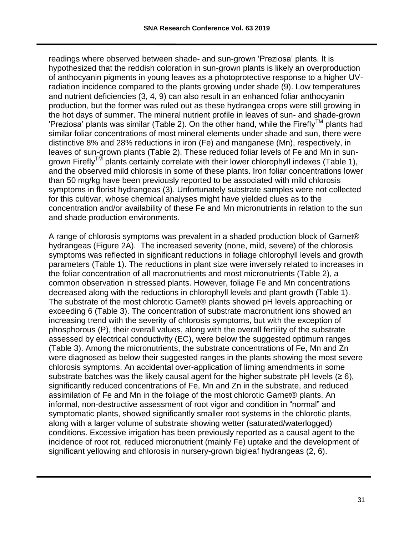readings where observed between shade- and sun-grown 'Preziosa' plants. It is hypothesized that the reddish coloration in sun-grown plants is likely an overproduction of anthocyanin pigments in young leaves as a photoprotective response to a higher UVradiation incidence compared to the plants growing under shade (9). Low temperatures and nutrient deficiencies (3, 4, 9) can also result in an enhanced foliar anthocyanin production, but the former was ruled out as these hydrangea crops were still growing in the hot days of summer. The mineral nutrient profile in leaves of sun- and shade-grown 'Preziosa' plants was similar (Table 2). On the other hand, while the Firefly<sup>TM</sup> plants had similar foliar concentrations of most mineral elements under shade and sun, there were distinctive 8% and 28% reductions in iron (Fe) and manganese (Mn), respectively, in leaves of sun-grown plants (Table 2). These reduced foliar levels of Fe and Mn in sungrown Firefly<sup>TM</sup> plants certainly correlate with their lower chlorophyll indexes (Table 1), and the observed mild chlorosis in some of these plants. Iron foliar concentrations lower than 50 mg/kg have been previously reported to be associated with mild chlorosis symptoms in florist hydrangeas (3). Unfortunately substrate samples were not collected for this cultivar, whose chemical analyses might have yielded clues as to the concentration and/or availability of these Fe and Mn micronutrients in relation to the sun and shade production environments.

A range of chlorosis symptoms was prevalent in a shaded production block of Garnet® hydrangeas (Figure 2A). The increased severity (none, mild, severe) of the chlorosis symptoms was reflected in significant reductions in foliage chlorophyll levels and growth parameters (Table 1). The reductions in plant size were inversely related to increases in the foliar concentration of all macronutrients and most micronutrients (Table 2), a common observation in stressed plants. However, foliage Fe and Mn concentrations decreased along with the reductions in chlorophyll levels and plant growth (Table 1). The substrate of the most chlorotic Garnet® plants showed pH levels approaching or exceeding 6 (Table 3). The concentration of substrate macronutrient ions showed an increasing trend with the severity of chlorosis symptoms, but with the exception of phosphorous (P), their overall values, along with the overall fertility of the substrate assessed by electrical conductivity (EC), were below the suggested optimum ranges (Table 3). Among the micronutrients, the substrate concentrations of Fe, Mn and Zn were diagnosed as below their suggested ranges in the plants showing the most severe chlorosis symptoms. An accidental over-application of liming amendments in some substrate batches was the likely causal agent for the higher substrate pH levels ( $\geq 6$ ), significantly reduced concentrations of Fe, Mn and Zn in the substrate, and reduced assimilation of Fe and Mn in the foliage of the most chlorotic Garnet® plants. An informal, non-destructive assessment of root vigor and condition in "normal" and symptomatic plants, showed significantly smaller root systems in the chlorotic plants, along with a larger volume of substrate showing wetter (saturated/waterlogged) conditions. Excessive irrigation has been previously reported as a causal agent to the incidence of root rot, reduced micronutrient (mainly Fe) uptake and the development of significant yellowing and chlorosis in nursery-grown bigleaf hydrangeas (2, 6).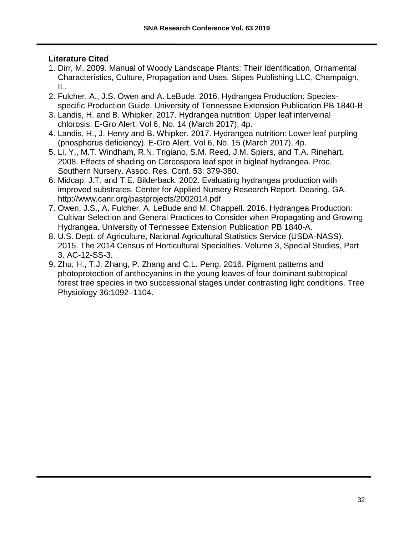## **Literature Cited**

- 1. Dirr, M. 2009. Manual of Woody Landscape Plants: Their Identification, Ornamental Characteristics, Culture, Propagation and Uses. Stipes Publishing LLC, Champaign, IL.
- 2. Fulcher, A., J.S. Owen and A. LeBude. 2016. Hydrangea Production: Speciesspecific Production Guide. University of Tennessee Extension Publication PB 1840-B
- 3. Landis, H. and B. Whipker. 2017. Hydrangea nutrition: Upper leaf interveinal chlorosis. E-Gro Alert. Vol 6, No. 14 (March 2017), 4p.
- 4. Landis, H., J. Henry and B. Whipker. 2017. Hydrangea nutrition: Lower leaf purpling (phosphorus deficiency). E-Gro Alert. Vol 6, No. 15 (March 2017), 4p.
- 5. Li, Y., M.T. Windham, R.N. Trigiano, S.M. Reed, J.M. Spiers, and T.A. Rinehart. 2008. Effects of shading on Cercospora leaf spot in bigleaf hydrangea. Proc. Southern Nursery. Assoc. Res. Conf. 53: 379-380.
- 6. Midcap, J.T, and T.E. Bilderback. 2002. Evaluating hydrangea production with improved substrates. Center for Applied Nursery Research Report. Dearing, GA. <http://www.canr.org/pastprojects/2002014.pdf>
- 7. Owen, J.S., A. Fulcher, A. LeBude and M. Chappell. 2016. Hydrangea Production: Cultivar Selection and General Practices to Consider when Propagating and Growing Hydrangea. University of Tennessee Extension Publication PB 1840-A.
- 8. U.S. Dept. of Agriculture, National Agricultural Statistics Service (USDA-NASS). 2015. The 2014 Census of Horticultural Specialties. Volume 3, Special Studies, Part 3. AC-12-SS-3.
- 9. Zhu, H., T.J. Zhang, P. Zhang and C.L. Peng. 2016. Pigment patterns and photoprotection of anthocyanins in the young leaves of four dominant subtropical forest tree species in two successional stages under contrasting light conditions. Tree Physiology 36:1092–1104.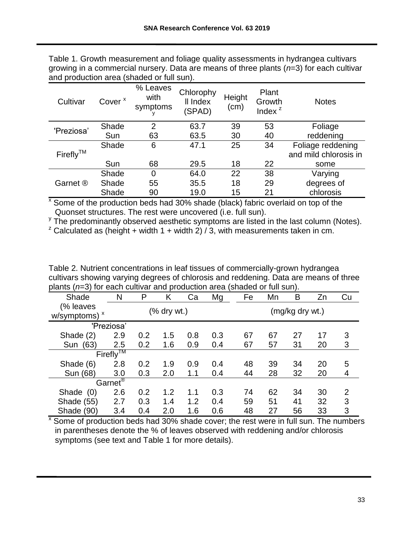| Table 1. Growth measurement and foliage quality assessments in hydrangea cultivars        |
|-------------------------------------------------------------------------------------------|
| growing in a commercial nursery. Data are means of three plants $(n=3)$ for each cultivar |
| and production area (shaded or full sun).                                                 |

| Cultivar       | Cover <sup>x</sup> | % Leaves<br>with<br>symptoms | Chlorophy<br>II Index<br>(SPAD) | Height<br>(cm) | Plant<br>Growth<br>Index $z$ | <b>Notes</b>          |
|----------------|--------------------|------------------------------|---------------------------------|----------------|------------------------------|-----------------------|
| 'Preziosa'     | Shade              | $\overline{2}$               | 63.7                            | 39             | 53                           | Foliage               |
|                | Sun                | 63                           | 63.5                            | 30             | 40                           | reddening             |
|                | Shade              | 6                            | 47.1                            | 25             | 34                           | Foliage reddening     |
| $Firefly^{TM}$ |                    |                              |                                 |                |                              | and mild chlorosis in |
|                | Sun                | 68                           | 29.5                            | 18             | 22                           | some                  |
|                | Shade              | $\overline{0}$               | 64.0                            | 22             | 38                           | Varying               |
| Garnet ®       | Shade              | 55                           | 35.5                            | 18             | 29                           | degrees of            |
|                | Shade              | 90                           | 19.0                            | 15             | 21                           | chlorosis             |

<sup>x</sup> Some of the production beds had 30% shade (black) fabric overlaid on top of the Quonset structures. The rest were uncovered (i.e. full sun).

<sup>y</sup> The predominantly observed aesthetic symptoms are listed in the last column (Notes).

 $2^{7}$  Calculated as (height + width 1 + width 2) / 3, with measurements taken in cm.

| $p$ ianto ( $p = 0$ ) for each cuitivar and production area (originated or full surf). |                     |     |             |     |     |    |    |                 |    |                |
|----------------------------------------------------------------------------------------|---------------------|-----|-------------|-----|-----|----|----|-----------------|----|----------------|
| Shade                                                                                  | N                   | P   | Κ           | Ca  | Mg  | Fe | Mn | Β               | Zn | Cu             |
| (% leaves<br>w/symptoms) ×                                                             |                     |     | (% dry wt.) |     |     |    |    | (mg/kg dry wt.) |    |                |
|                                                                                        | 'Preziosa'          |     |             |     |     |    |    |                 |    |                |
| Shade (2)                                                                              | 2.9                 | 0.2 | 1.5         | 0.8 | 0.3 | 67 | 67 | 27              | 17 | 3              |
| (63)<br>Sun                                                                            | 2.5                 | 0.2 | 1.6         | 0.9 | 0.4 | 67 | 57 | 31              | 20 | 3              |
|                                                                                        | $Firefly^{TM}$      |     |             |     |     |    |    |                 |    |                |
| Shade (6)                                                                              | 2.8                 | 0.2 | 1.9         | 0.9 | 0.4 | 48 | 39 | 34              | 20 | 5              |
| Sun (68)                                                                               | 3.0                 | 0.3 | 2.0         | 1.1 | 0.4 | 44 | 28 | 32              | 20 | 4              |
|                                                                                        | Garnet <sup>®</sup> |     |             |     |     |    |    |                 |    |                |
| Shade (0)                                                                              | 2.6                 | 0.2 | 1.2         | 1.1 | 0.3 | 74 | 62 | 34              | 30 | $\overline{2}$ |
| Shade (55)                                                                             | 2.7                 | 0.3 | 1.4         | 1.2 | 0.4 | 59 | 51 | 41              | 32 | 3              |
| Shade (90)                                                                             | 3.4                 | 0.4 | 2.0         | 1.6 | 0.6 | 48 | 27 | 56              | 33 | 3              |

Table 2. Nutrient concentrations in leaf tissues of commercially-grown hydrangea cultivars showing varying degrees of chlorosis and reddening. Data are means of three plants (*n*=3) for each cultivar and production area (shaded or full sun).

 $\overline{X}$  Some of production beds had 30% shade cover; the rest were in full sun. The numbers in parentheses denote the % of leaves observed with reddening and/or chlorosis symptoms (see text and Table 1 for more details).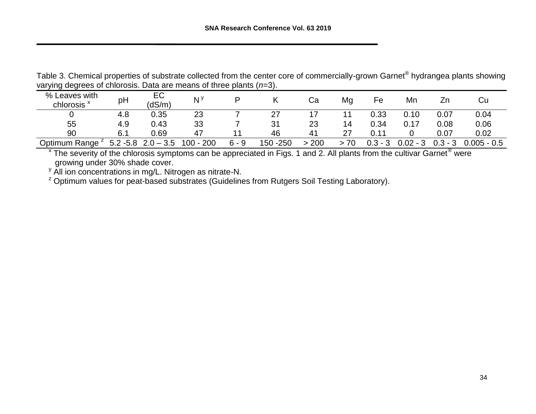Table 3. Chemical properties of substrate collected from the center core of commercially-grown Garnet® hydrangea plants showing varying degrees of chlorosis. Data are means of three plants (*n*=3).

| % Leaves with<br>chlorosis <sup>x</sup> | pH            | EC<br>(dS/m)   | N <sup>y</sup>   |         |           | Cа  | Mg | Fe       | Mn         | Zr        | Cu            |
|-----------------------------------------|---------------|----------------|------------------|---------|-----------|-----|----|----------|------------|-----------|---------------|
|                                         | 4.8           | 0.35           | 23               |         | 27        |     |    | 0.33     | 0.10       | 0.07      | 0.04          |
| 55                                      | 4.9           | 0.43           | 33               |         | 31        | 23  | 14 | 0.34     | 0.17       | 0.08      | 0.06          |
| 90                                      | 6.1           | 0.69           | 47               |         | 46        | 41  | 27 | 0.11     |            | 0.07      | 0.02          |
| Optimum Range                           | 5.2<br>$-5.8$ | 3.5<br>$2.0 -$ | 200<br>$100 - 4$ | $6 - 9$ | 150 - 250 | 200 | 70 | 0.3<br>⌒ | $0.02 - 3$ | $0.3 - 3$ | $0.005 - 0.5$ |

 $^x$  The severity of the chlorosis symptoms can be appreciated in Figs. 1 and 2. All plants from the cultivar Garnet $^{\circledR}$  were growing under 30% shade cover.

 $\frac{y}{y}$  All ion concentrations in mg/L. Nitrogen as nitrate-N.

<sup>z</sup> Optimum values for peat-based substrates (Guidelines from Rutgers Soil Testing Laboratory).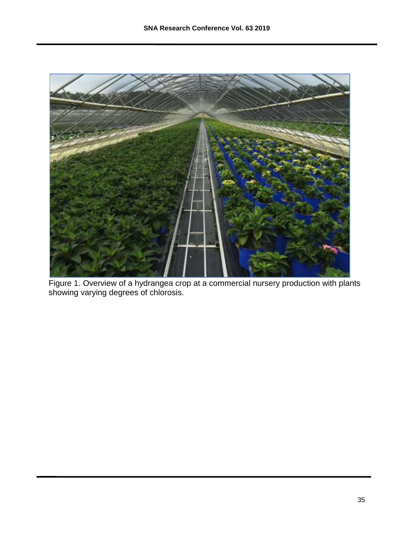

Figure 1. Overview of a hydrangea crop at a commercial nursery production with plants showing varying degrees of chlorosis.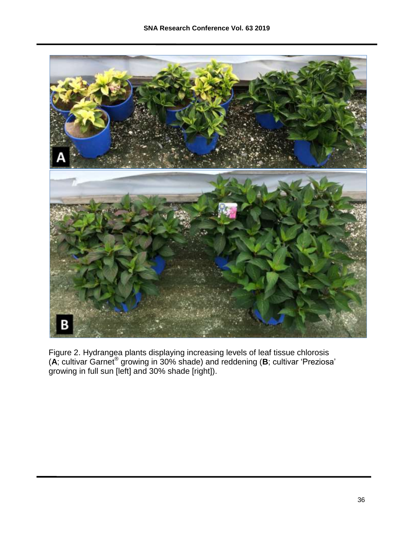

Figure 2. Hydrangea plants displaying increasing levels of leaf tissue chlorosis (**A**; cultivar Garnet® growing in 30% shade) and reddening (**B**; cultivar 'Preziosa' growing in full sun [left] and 30% shade [right]).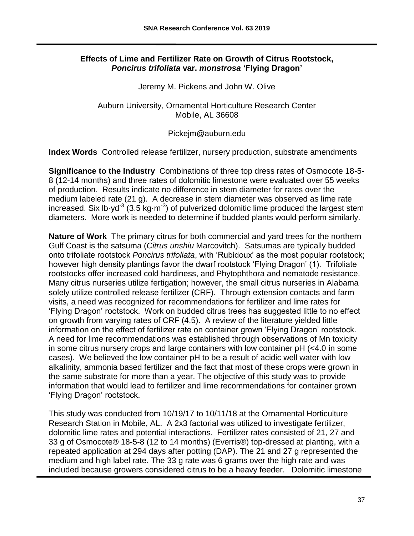## **Effects of Lime and Fertilizer Rate on Growth of Citrus Rootstock,**  *Poncirus trifoliata* **var.** *monstrosa* **'Flying Dragon'**

Jeremy M. Pickens and John W. Olive

Auburn University, Ornamental Horticulture Research Center Mobile, AL 36608

Pickejm@auburn.edu

**Index Words** Controlled release fertilizer, nursery production, substrate amendments

**Significance to the Industry** Combinations of three top dress rates of Osmocote 18-5- 8 (12-14 months) and three rates of dolomitic limestone were evaluated over 55 weeks of production. Results indicate no difference in stem diameter for rates over the medium labeled rate (21 g). A decrease in stem diameter was observed as lime rate increased. Six lb $\cdot$ yd<sup>-3</sup> (3.5 kg $\cdot$ m<sup>-3</sup>) of pulverized dolomitic lime produced the largest stem diameters. More work is needed to determine if budded plants would perform similarly.

**Nature of Work** The primary citrus for both commercial and yard trees for the northern Gulf Coast is the satsuma (*Citrus unshiu* Marcovitch). Satsumas are typically budded onto trifoliate rootstock *Poncirus trifoliata*, with 'Rubidoux' as the most popular rootstock; however high density plantings favor the dwarf rootstock 'Flying Dragon' (1). Trifoliate rootstocks offer increased cold hardiness, and Phytophthora and nematode resistance. Many citrus nurseries utilize fertigation; however, the small citrus nurseries in Alabama solely utilize controlled release fertilizer (CRF). Through extension contacts and farm visits, a need was recognized for recommendations for fertilizer and lime rates for 'Flying Dragon' rootstock. Work on budded citrus trees has suggested little to no effect on growth from varying rates of CRF (4,5). A review of the literature yielded little information on the effect of fertilizer rate on container grown 'Flying Dragon' rootstock. A need for lime recommendations was established through observations of Mn toxicity in some citrus nursery crops and large containers with low container pH (<4.0 in some cases). We believed the low container pH to be a result of acidic well water with low alkalinity, ammonia based fertilizer and the fact that most of these crops were grown in the same substrate for more than a year. The objective of this study was to provide information that would lead to fertilizer and lime recommendations for container grown 'Flying Dragon' rootstock.

This study was conducted from 10/19/17 to 10/11/18 at the Ornamental Horticulture Research Station in Mobile, AL. A 2x3 factorial was utilized to investigate fertilizer, dolomitic lime rates and potential interactions. Fertilizer rates consisted of 21, 27 and 33 g of Osmocote® 18-5-8 (12 to 14 months) (Everris®) top-dressed at planting, with a repeated application at 294 days after potting (DAP). The 21 and 27 g represented the medium and high label rate. The 33 g rate was 6 grams over the high rate and was included because growers considered citrus to be a heavy feeder. Dolomitic limestone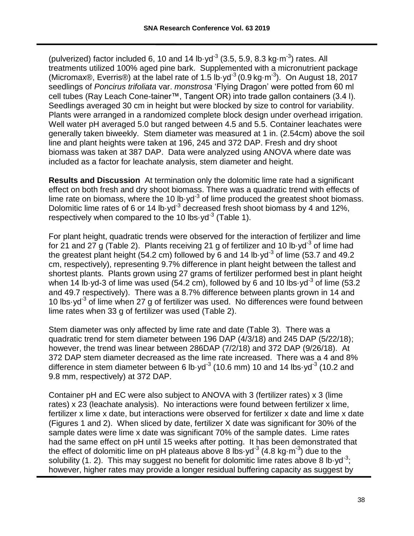(pulverized) factor included 6, 10 and 14 lb $\cdot$ yd<sup>-3</sup> (3.5, 5.9, 8.3 kg $\cdot$ m<sup>-3</sup>) rates. All treatments utilized 100% aged pine bark. Supplemented with a micronutrient package (Micromax®, Everris®) at the label rate of 1.5 lb·yd<sup>-3</sup> (0.9 kg·m<sup>-3</sup>). On August 18, 2017 seedlings of *Poncirus trifoliata* var. *monstrosa* 'Flying Dragon' were potted from 60 ml cell tubes (Ray Leach Cone-tainer™, Tangent OR) into trade gallon containers (3.4 l). Seedlings averaged 30 cm in height but were blocked by size to control for variability. Plants were arranged in a randomized complete block design under overhead irrigation. Well water pH averaged 5.0 but ranged between 4.5 and 5.5. Container leachates were generally taken biweekly. Stem diameter was measured at 1 in. (2.54cm) above the soil line and plant heights were taken at 196, 245 and 372 DAP. Fresh and dry shoot biomass was taken at 387 DAP. Data were analyzed using ANOVA where date was included as a factor for leachate analysis, stem diameter and height.

**Results and Discussion** At termination only the dolomitic lime rate had a significant effect on both fresh and dry shoot biomass. There was a quadratic trend with effects of lime rate on biomass, where the 10 lb $\cdot$ yd<sup>-3</sup> of lime produced the greatest shoot biomass. Dolomitic lime rates of 6 or 14 lb $\cdot$ yd<sup>-3</sup> decreased fresh shoot biomass by 4 and 12%, respectively when compared to the 10 lbs yd<sup>-3</sup> (Table 1).

For plant height, quadratic trends were observed for the interaction of fertilizer and lime for 21 and 27 g (Table 2). Plants receiving 21 g of fertilizer and 10 lb $\cdot$ yd<sup>-3</sup> of lime had the greatest plant height (54.2 cm) followed by 6 and 14 lb  $yd^3$  of lime (53.7 and 49.2 cm, respectively), representing 9.7% difference in plant height between the tallest and shortest plants. Plants grown using 27 grams of fertilizer performed best in plant height when 14 lb yd-3 of lime was used (54.2 cm), followed by 6 and 10 lbs yd<sup>-3</sup> of lime (53.2 and 49.7 respectively). There was a 8.7% difference between plants grown in 14 and 10 lbs yd<sup>-3</sup> of lime when 27 g of fertilizer was used. No differences were found between lime rates when 33 g of fertilizer was used (Table 2).

Stem diameter was only affected by lime rate and date (Table 3). There was a quadratic trend for stem diameter between 196 DAP (4/3/18) and 245 DAP (5/22/18); however, the trend was linear between 286DAP (7/2/18) and 372 DAP (9/26/18). At 372 DAP stem diameter decreased as the lime rate increased. There was a 4 and 8% difference in stem diameter between 6 lb $\cdot$ yd<sup>-3</sup> (10.6 mm) 10 and 14 lbs $\cdot$ yd<sup>-3</sup> (10.2 and 9.8 mm, respectively) at 372 DAP.

Container pH and EC were also subject to ANOVA with 3 (fertilizer rates) x 3 (lime rates) x 23 (leachate analysis). No interactions were found between fertilizer x lime, fertilizer x lime x date, but interactions were observed for fertilizer x date and lime x date (Figures 1 and 2). When sliced by date, fertilizer X date was significant for 30% of the sample dates were lime x date was significant 70% of the sample dates. Lime rates had the same effect on pH until 15 weeks after potting. It has been demonstrated that the effect of dolomitic lime on pH plateaus above 8 lbs yd<sup>-3</sup> (4.8 kg·m<sup>-3</sup>) due to the solubility (1. 2). This may suggest no benefit for dolomitic lime rates above 8 lb yd<sup>-3</sup>; however, higher rates may provide a longer residual buffering capacity as suggest by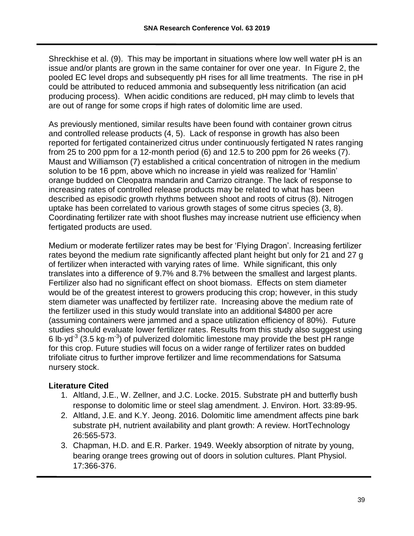Shreckhise et al. (9). This may be important in situations where low well water pH is an issue and/or plants are grown in the same container for over one year. In Figure 2, the pooled EC level drops and subsequently pH rises for all lime treatments. The rise in pH could be attributed to reduced ammonia and subsequently less nitrification (an acid producing process). When acidic conditions are reduced, pH may climb to levels that are out of range for some crops if high rates of dolomitic lime are used.

As previously mentioned, similar results have been found with container grown citrus and controlled release products (4, 5). Lack of response in growth has also been reported for fertigated containerized citrus under continuously fertigated N rates ranging from 25 to 200 ppm for a 12-month period (6) and 12.5 to 200 ppm for 26 weeks (7). Maust and Williamson (7) established a critical concentration of nitrogen in the medium solution to be 16 ppm, above which no increase in yield was realized for 'Hamlin' orange budded on Cleopatra mandarin and Carrizo citrange. The lack of response to increasing rates of controlled release products may be related to what has been described as episodic growth rhythms between shoot and roots of citrus (8). Nitrogen uptake has been correlated to various growth stages of some citrus species (3, 8). Coordinating fertilizer rate with shoot flushes may increase nutrient use efficiency when fertigated products are used.

Medium or moderate fertilizer rates may be best for 'Flying Dragon'. Increasing fertilizer rates beyond the medium rate significantly affected plant height but only for 21 and 27 g of fertilizer when interacted with varying rates of lime. While significant, this only translates into a difference of 9.7% and 8.7% between the smallest and largest plants. Fertilizer also had no significant effect on shoot biomass. Effects on stem diameter would be of the greatest interest to growers producing this crop; however, in this study stem diameter was unaffected by fertilizer rate. Increasing above the medium rate of the fertilizer used in this study would translate into an additional \$4800 per acre (assuming containers were jammed and a space utilization efficiency of 80%). Future studies should evaluate lower fertilizer rates. Results from this study also suggest using 6 lb $\cdot$ yd<sup>-3</sup> (3.5 kg $\cdot$ m<sup>-3</sup>) of pulverized dolomitic limestone may provide the best pH range for this crop. Future studies will focus on a wider range of fertilizer rates on budded trifoliate citrus to further improve fertilizer and lime recommendations for Satsuma nursery stock.

# **Literature Cited**

- 1. Altland, J.E., W. Zellner, and J.C. Locke. 2015. Substrate pH and butterfly bush response to dolomitic lime or steel slag amendment. J. Environ. Hort. 33:89-95.
- 2. Altland, J.E. and K.Y. Jeong. 2016. Dolomitic lime amendment affects pine bark substrate pH, nutrient availability and plant growth: A review. HortTechnology 26:565-573.
- 3. Chapman, H.D. and E.R. Parker. 1949. Weekly absorption of nitrate by young, bearing orange trees growing out of doors in solution cultures. Plant Physiol. 17:366-376.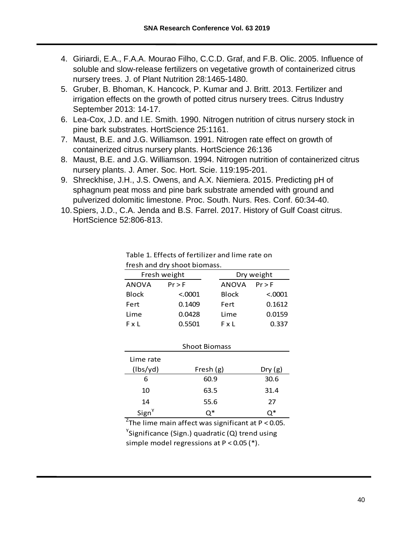- 4. Giriardi, E.A., F.A.A. Mourao Filho, C.C.D. Graf, and F.B. Olic. 2005. Influence of soluble and slow-release fertilizers on vegetative growth of containerized citrus nursery trees. J. of Plant Nutrition 28:1465-1480.
- 5. Gruber, B. Bhoman, K. Hancock, P. Kumar and J. Britt. 2013. Fertilizer and irrigation effects on the growth of potted citrus nursery trees. Citrus Industry September 2013: 14-17.
- 6. Lea-Cox, J.D. and I.E. Smith. 1990. Nitrogen nutrition of citrus nursery stock in pine bark substrates. HortScience 25:1161.
- 7. Maust, B.E. and J.G. Williamson. 1991. Nitrogen rate effect on growth of containerized citrus nursery plants. HortScience 26:136
- 8. Maust, B.E. and J.G. Williamson. 1994. Nitrogen nutrition of containerized citrus nursery plants. J. Amer. Soc. Hort. Scie. 119:195-201.
- 9. Shreckhise, J.H., J.S. Owens, and A.X. Niemiera. 2015. Predicting pH of sphagnum peat moss and pine bark substrate amended with ground and pulverized dolomitic limestone. Proc. South. Nurs. Res. Conf. 60:34-40.
- 10.Spiers, J.D., C.A. Jenda and B.S. Farrel. 2017. History of Gulf Coast citrus. HortScience 52:806-813.

|              | Fresh weight | Dry weight   |          |  |  |  |
|--------------|--------------|--------------|----------|--|--|--|
| <b>ANOVA</b> | $Pr$ > F     | ANOVA        | $Pr$ > F |  |  |  |
| <b>Block</b> | < 0.0001     | <b>Block</b> | < 0.0001 |  |  |  |
| Fert         | 0.1409       | Fert         | 0.1612   |  |  |  |
| Lime         | 0.0428       | Lime         | 0.0159   |  |  |  |
| FxL          | 0.5501       | FxL          | 0.337    |  |  |  |

Table 1. Effects of fertilizer and lime rate on fresh and dry shoot biomass.

|                   | <b>Shoot Biomass</b> |        |
|-------------------|----------------------|--------|
| Lime rate         |                      |        |
| (lbs/yd)          | Fresh $(g)$          | Dry(g) |
| 6                 | 60.9                 | 30.6   |
| 10                | 63.5                 | 31.4   |
| 14                | 55.6                 | 27     |
| Sign <sup>Y</sup> | ∩*                   | ่า∗    |

<sup>Z</sup>The lime main affect was significant at P < 0.05.  $\mathrm{Y}$ Significance (Sign.) quadratic (Q) trend using simple model regressions at P < 0.05 (\*).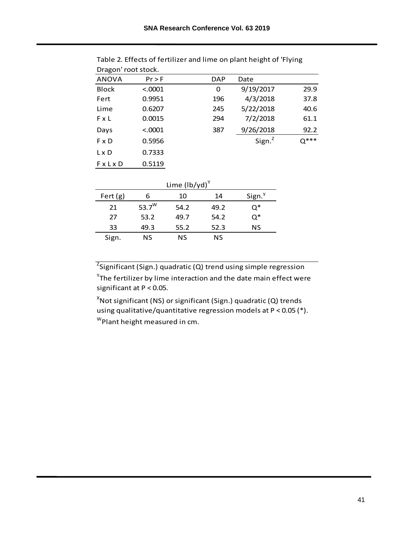| PIULUI TUUL SLUCK. |          |            |           |        |
|--------------------|----------|------------|-----------|--------|
| <b>ANOVA</b>       | $Pr$ > F | <b>DAP</b> | Date      |        |
| <b>Block</b>       | < 0.0001 | 0          | 9/19/2017 | 29.9   |
| Fert               | 0.9951   | 196        | 4/3/2018  | 37.8   |
| Lime               | 0.6207   | 245        | 5/22/2018 | 40.6   |
| FxL                | 0.0015   | 294        | 7/2/2018  | 61.1   |
| Days               | < 0.0001 | 387        | 9/26/2018 | 92.2   |
| F x D              | 0.5956   |            | Sign. $z$ | $Q***$ |
| $L \times D$       | 0.7333   |            |           |        |
| <b>FxLxD</b>       | 0.5119   |            |           |        |
|                    |          |            |           |        |

| Table 2. Effects of fertilizer and lime on plant height of 'Flying |  |
|--------------------------------------------------------------------|--|
| Dragon' root stock.                                                |  |

| Lime $\left(\frac{1}{y} \right)^{\gamma}$ |          |      |      |                    |  |  |  |  |  |
|-------------------------------------------|----------|------|------|--------------------|--|--|--|--|--|
| Fert $(g)$                                | 6        | 10   | 14   | Sign. <sup>y</sup> |  |  |  |  |  |
| 21                                        | 53.7 $W$ | 54.2 | 49.2 | Ο*                 |  |  |  |  |  |
| 27                                        | 53.2     | 49.7 | 54.2 | Q*                 |  |  |  |  |  |
| 33                                        | 49.3     | 55.2 | 52.3 | ΝS                 |  |  |  |  |  |
| Sign.                                     | ΝS       | ΝS   | NS   |                    |  |  |  |  |  |

<sup>Z</sup>Significant (Sign.) quadratic (Q) trend using simple regression  $\mathrm{Y}$ The fertilizer by lime interaction and the date main effect were

significant at P < 0.05.

 ${}^{\rm w}$ Plant height measured in cm.  $X$ Not significant (NS) or significant (Sign.) quadratic (Q) trends using qualitative/quantitative regression models at P < 0.05 (\*).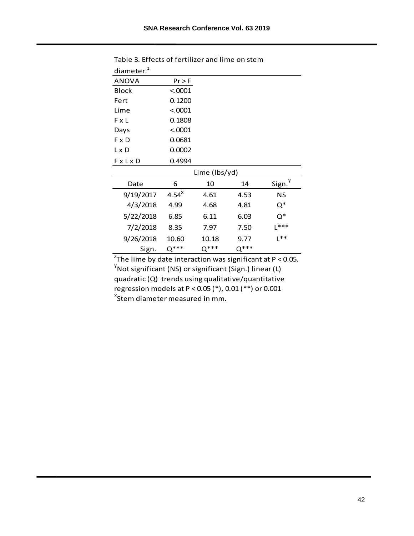| diameter. $2$ |                                |               |        |                    |  |  |  |
|---------------|--------------------------------|---------------|--------|--------------------|--|--|--|
| <b>ANOVA</b>  | $Pr$ > F                       |               |        |                    |  |  |  |
| <b>Block</b>  | < .0001                        |               |        |                    |  |  |  |
| Fert          | 0.1200                         |               |        |                    |  |  |  |
| Lime          | < .0001                        |               |        |                    |  |  |  |
| FxL           | 0.1808                         |               |        |                    |  |  |  |
| Days          | < .0001                        |               |        |                    |  |  |  |
| F x D         | 0.0681                         |               |        |                    |  |  |  |
| L x D         | 0.0002                         |               |        |                    |  |  |  |
| <b>FxLxD</b>  | 0.4994                         |               |        |                    |  |  |  |
|               |                                | Lime (lbs/yd) |        |                    |  |  |  |
| Date          | 6                              | 10            | 14     | Sign. <sup>Y</sup> |  |  |  |
| 9/19/2017     | $4.54^{\text{X}}$              | 4.61          | 4.53   | NS                 |  |  |  |
| 4/3/2018      | 4.99                           | 4.68          | 4.81   | $Q^*$              |  |  |  |
| 5/22/2018     | 6.85                           | 6.11          | 6.03   | Q*                 |  |  |  |
| 7/2/2018      | $L***$<br>7.50<br>8.35<br>7.97 |               |        |                    |  |  |  |
| 9/26/2018     | 10.60                          | 10.18         | 9.77   | $L^{**}$           |  |  |  |
| Sign.         | $Q***$                         | $Q***$        | $Q***$ |                    |  |  |  |

Table 3. Effects of fertilizer and lime on stem

<sup>Z</sup>The lime by date interaction was significant at P < 0.05. <sup>x</sup>Stem diameter measured in mm.  $Y$ Not significant (NS) or significant (Sign.) linear (L) quadratic (Q) trends using qualitative/quantitative regression models at P < 0.05 (\*), 0.01 (\*\*) or 0.001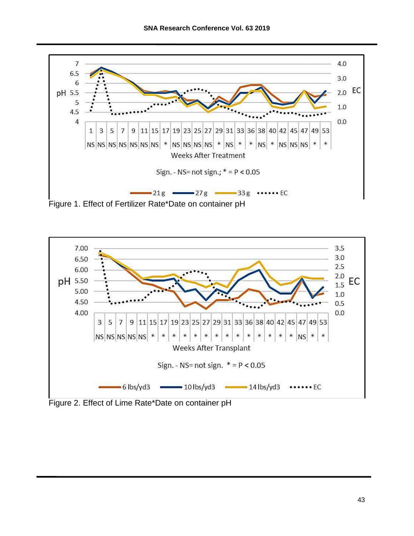

Figure 1. Effect of Fertilizer Rate\*Date on container pH



Figure 2. Effect of Lime Rate\*Date on container pH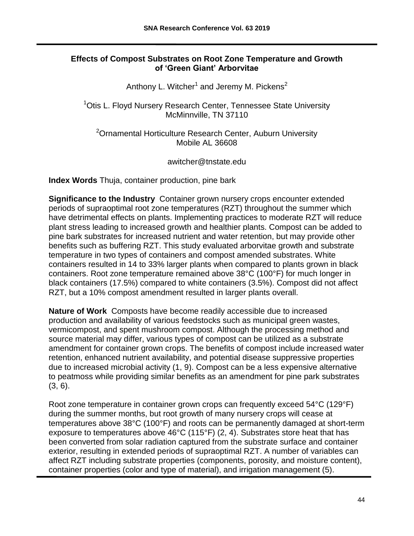## **Effects of Compost Substrates on Root Zone Temperature and Growth of 'Green Giant' Arborvitae**

Anthony L. Witcher<sup>1</sup> and Jeremy M. Pickens<sup>2</sup>

<sup>1</sup>Otis L. Floyd Nursery Research Center, Tennessee State University McMinnville, TN 37110

<sup>2</sup>Ornamental Horticulture Research Center, Auburn University Mobile AL 36608

awitcher@tnstate.edu

**Index Words** Thuja, container production, pine bark

**Significance to the Industry** Container grown nursery crops encounter extended periods of supraoptimal root zone temperatures (RZT) throughout the summer which have detrimental effects on plants. Implementing practices to moderate RZT will reduce plant stress leading to increased growth and healthier plants. Compost can be added to pine bark substrates for increased nutrient and water retention, but may provide other benefits such as buffering RZT. This study evaluated arborvitae growth and substrate temperature in two types of containers and compost amended substrates. White containers resulted in 14 to 33% larger plants when compared to plants grown in black containers. Root zone temperature remained above 38°C (100°F) for much longer in black containers (17.5%) compared to white containers (3.5%). Compost did not affect RZT, but a 10% compost amendment resulted in larger plants overall.

**Nature of Work** Composts have become readily accessible due to increased production and availability of various feedstocks such as municipal green wastes, vermicompost, and spent mushroom compost. Although the processing method and source material may differ, various types of compost can be utilized as a substrate amendment for container grown crops. The benefits of compost include increased water retention, enhanced nutrient availability, and potential disease suppressive properties due to increased microbial activity (1, 9). Compost can be a less expensive alternative to peatmoss while providing similar benefits as an amendment for pine park substrates (3, 6).

Root zone temperature in container grown crops can frequently exceed 54°C (129°F) during the summer months, but root growth of many nursery crops will cease at temperatures above 38°C (100°F) and roots can be permanently damaged at short-term exposure to temperatures above 46°C (115°F) (2, 4). Substrates store heat that has been converted from solar radiation captured from the substrate surface and container exterior, resulting in extended periods of supraoptimal RZT. A number of variables can affect RZT including substrate properties (components, porosity, and moisture content), container properties (color and type of material), and irrigation management (5).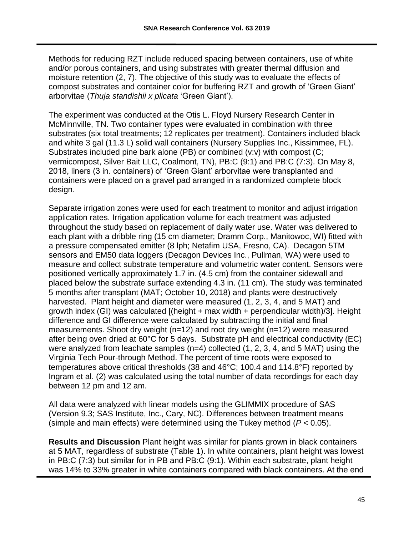Methods for reducing RZT include reduced spacing between containers, use of white and/or porous containers, and using substrates with greater thermal diffusion and moisture retention (2, 7). The objective of this study was to evaluate the effects of compost substrates and container color for buffering RZT and growth of 'Green Giant' arborvitae (*Thuja standishii x plicata* 'Green Giant').

The experiment was conducted at the Otis L. Floyd Nursery Research Center in McMinnville, TN. Two container types were evaluated in combination with three substrates (six total treatments; 12 replicates per treatment). Containers included black and white 3 gal (11.3 L) solid wall containers (Nursery Supplies Inc., Kissimmee, FL). Substrates included pine bark alone (PB) or combined (v:v) with compost (C; vermicompost, Silver Bait LLC, Coalmont, TN), PB:C (9:1) and PB:C (7:3). On May 8, 2018, liners (3 in. containers) of 'Green Giant' arborvitae were transplanted and containers were placed on a gravel pad arranged in a randomized complete block design.

Separate irrigation zones were used for each treatment to monitor and adjust irrigation application rates. Irrigation application volume for each treatment was adjusted throughout the study based on replacement of daily water use. Water was delivered to each plant with a dribble ring (15 cm diameter; Dramm Corp., Manitowoc, WI) fitted with a pressure compensated emitter (8 lph; Netafim USA, Fresno, CA). Decagon 5TM sensors and EM50 data loggers (Decagon Devices Inc., Pullman, WA) were used to measure and collect substrate temperature and volumetric water content. Sensors were positioned vertically approximately 1.7 in. (4.5 cm) from the container sidewall and placed below the substrate surface extending 4.3 in. (11 cm). The study was terminated 5 months after transplant (MAT; October 10, 2018) and plants were destructively harvested. Plant height and diameter were measured (1, 2, 3, 4, and 5 MAT) and growth index (GI) was calculated  $[(height + max width + perpendicular width)/3]$ . Height difference and GI difference were calculated by subtracting the initial and final measurements. Shoot dry weight (n=12) and root dry weight (n=12) were measured after being oven dried at 60°C for 5 days. Substrate pH and electrical conductivity (EC) were analyzed from leachate samples  $(n=4)$  collected  $(1, 2, 3, 4,$  and 5 MAT) using the Virginia Tech Pour-through Method. The percent of time roots were exposed to temperatures above critical thresholds (38 and 46°C; 100.4 and 114.8°F) reported by Ingram et al. (2) was calculated using the total number of data recordings for each day between 12 pm and 12 am.

All data were analyzed with linear models using the GLIMMIX procedure of SAS (Version 9.3; SAS Institute, Inc., Cary, NC). Differences between treatment means (simple and main effects) were determined using the Tukey method (*P* < 0.05).

**Results and Discussion** Plant height was similar for plants grown in black containers at 5 MAT, regardless of substrate (Table 1). In white containers, plant height was lowest in PB:C (7:3) but similar for in PB and PB:C (9:1). Within each substrate, plant height was 14% to 33% greater in white containers compared with black containers. At the end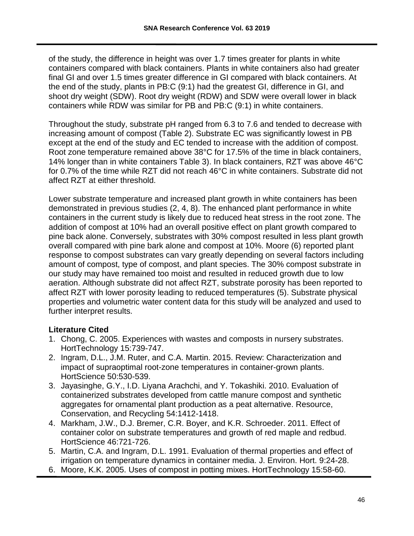of the study, the difference in height was over 1.7 times greater for plants in white containers compared with black containers. Plants in white containers also had greater final GI and over 1.5 times greater difference in GI compared with black containers. At the end of the study, plants in PB:C (9:1) had the greatest GI, difference in GI, and shoot dry weight (SDW). Root dry weight (RDW) and SDW were overall lower in black containers while RDW was similar for PB and PB:C (9:1) in white containers.

Throughout the study, substrate pH ranged from 6.3 to 7.6 and tended to decrease with increasing amount of compost (Table 2). Substrate EC was significantly lowest in PB except at the end of the study and EC tended to increase with the addition of compost. Root zone temperature remained above 38°C for 17.5% of the time in black containers, 14% longer than in white containers Table 3). In black containers, RZT was above 46°C for 0.7% of the time while RZT did not reach 46°C in white containers. Substrate did not affect RZT at either threshold.

Lower substrate temperature and increased plant growth in white containers has been demonstrated in previous studies (2, 4, 8). The enhanced plant performance in white containers in the current study is likely due to reduced heat stress in the root zone. The addition of compost at 10% had an overall positive effect on plant growth compared to pine back alone. Conversely, substrates with 30% compost resulted in less plant growth overall compared with pine bark alone and compost at 10%. Moore (6) reported plant response to compost substrates can vary greatly depending on several factors including amount of compost, type of compost, and plant species. The 30% compost substrate in our study may have remained too moist and resulted in reduced growth due to low aeration. Although substrate did not affect RZT, substrate porosity has been reported to affect RZT with lower porosity leading to reduced temperatures (5). Substrate physical properties and volumetric water content data for this study will be analyzed and used to further interpret results.

# **Literature Cited**

- 1. Chong, C. 2005. Experiences with wastes and composts in nursery substrates. HortTechnology 15:739-747.
- 2. Ingram, D.L., J.M. Ruter, and C.A. Martin. 2015. Review: Characterization and impact of supraoptimal root-zone temperatures in container-grown plants. HortScience 50:530-539.
- 3. Jayasinghe, G.Y., I.D. Liyana Arachchi, and Y. Tokashiki. 2010. Evaluation of containerized substrates developed from cattle manure compost and synthetic aggregates for ornamental plant production as a peat alternative. Resource, Conservation, and Recycling 54:1412-1418.
- 4. Markham, J.W., D.J. Bremer, C.R. Boyer, and K.R. Schroeder. 2011. Effect of container color on substrate temperatures and growth of red maple and redbud. HortScience 46:721-726.
- 5. Martin, C.A. and Ingram, D.L. 1991. Evaluation of thermal properties and effect of irrigation on temperature dynamics in container media. J. Environ. Hort. 9:24-28.
- 6. Moore, K.K. 2005. Uses of compost in potting mixes. HortTechnology 15:58-60.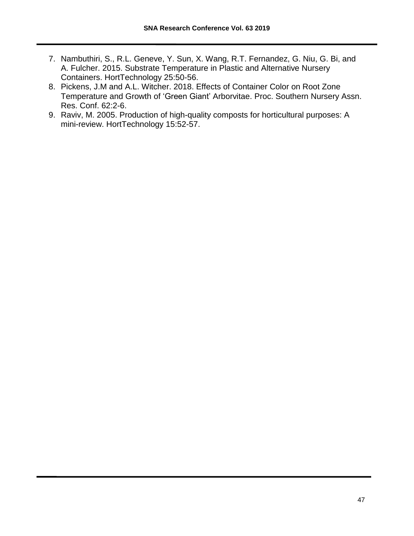- 7. Nambuthiri, S., R.L. Geneve, Y. Sun, X. Wang, R.T. Fernandez, G. Niu, G. Bi, and A. Fulcher. 2015. Substrate Temperature in Plastic and Alternative Nursery Containers. HortTechnology 25:50-56.
- 8. Pickens, J.M and A.L. Witcher. 2018. Effects of Container Color on Root Zone Temperature and Growth of 'Green Giant' Arborvitae. Proc. Southern Nursery Assn. Res. Conf. 62:2-6.
- 9. Raviv, M. 2005. Production of high-quality composts for horticultural purposes: A mini-review. HortTechnology 15:52-57.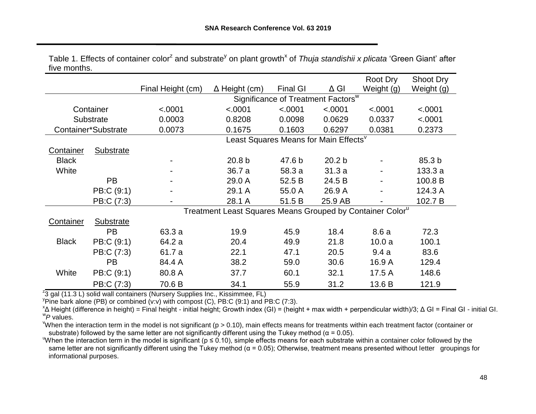|              |                     |                   |                                                                       |                 |                                                | Root Dry   | Shoot Dry         |
|--------------|---------------------|-------------------|-----------------------------------------------------------------------|-----------------|------------------------------------------------|------------|-------------------|
|              |                     | Final Height (cm) | $\Delta$ Height (cm)                                                  | <b>Final GI</b> | $\Delta$ GI                                    | Weight (g) | Weight (g)        |
|              |                     |                   |                                                                       |                 | Significance of Treatment Factors <sup>w</sup> |            |                   |
|              | Container           | < .0001           | < .0001                                                               | < .0001         | < .0001                                        | < .0001    | < .0001           |
|              | Substrate           | 0.0003            | 0.8208                                                                | 0.0098          | 0.0629                                         | 0.0337     | < .0001           |
|              | Container*Substrate | 0.0073            | 0.1675                                                                | 0.1603          | 0.6297                                         | 0.0381     | 0.2373            |
|              |                     |                   | Least Squares Means for Main Effects <sup>v</sup>                     |                 |                                                |            |                   |
| Container    | <b>Substrate</b>    |                   |                                                                       |                 |                                                |            |                   |
| <b>Black</b> |                     |                   | 20.8 <sub>b</sub>                                                     | 47.6 b          | 20.2 <sub>b</sub>                              |            | 85.3 <sub>b</sub> |
| White        |                     |                   | 36.7 a                                                                | 58.3 a          | 31.3a                                          |            | 133.3a            |
|              | <b>PB</b>           |                   | 29.0 A                                                                | 52.5 B          | 24.5 B                                         |            | 100.8 B           |
|              | PB:C (9:1)          |                   | 29.1 A                                                                | 55.0 A          | 26.9 A                                         |            | 124.3 A           |
|              | PB:C (7:3)          |                   | 28.1 A                                                                | 51.5 B          | 25.9 AB                                        |            | 102.7 B           |
|              |                     |                   | Treatment Least Squares Means Grouped by Container Color <sup>u</sup> |                 |                                                |            |                   |
| Container    | Substrate           |                   |                                                                       |                 |                                                |            |                   |
|              | <b>PB</b>           | 63.3 a            | 19.9                                                                  | 45.9            | 18.4                                           | 8.6a       | 72.3              |
| <b>Black</b> | PB:C (9:1)          | 64.2 a            | 20.4                                                                  | 49.9            | 21.8                                           | 10.0a      | 100.1             |
|              | PB:C (7:3)          | 61.7 a            | 22.1                                                                  | 47.1            | 20.5                                           | 9.4a       | 83.6              |
|              | <b>PB</b>           | 84.4 A            | 38.2                                                                  | 59.0            | 30.6                                           | 16.9 A     | 129.4             |
| White        | PB:C (9:1)          | 80.8 A            | 37.7                                                                  | 60.1            | 32.1                                           | 17.5 A     | 148.6             |
|              | PB:C (7:3)          | 70.6 B            | 34.1                                                                  | 55.9            | 31.2                                           | 13.6 B     | 121.9             |

Table 1. Effects of container color<sup>z</sup> and substrate<sup>y</sup> on plant growth<sup>x</sup> of *Thuja standishii x plicata* 'Green Giant' after five months.

<sup>z</sup>3 gal (11.3 L) solid wall containers (Nursery Supplies Inc., Kissimmee, FL)

 $\rm{V}$ Pine bark alone (PB) or combined (v:v) with compost (C), PB:C (9:1) and PB:C (7:3).

x Δ Height (difference in height) = Final height - initial height; Growth index (GI) = (height + max width + perpendicular width)/3; Δ GI = Final GI - initial GI. w *P* values.

<sup>V</sup>When the interaction term in the model is not significant ( $p > 0.10$ ), main effects means for treatments within each treatment factor (container or substrate) followed by the same letter are not significantly different using the Tukey method ( $\alpha$  = 0.05).

When the interaction term in the model is significant ( $p \le 0.10$ ), simple effects means for each substrate within a container color followed by the same letter are not significantly different using the Tukey method ( $\alpha$  = 0.05); Otherwise, treatment means presented without letter groupings for informational purposes.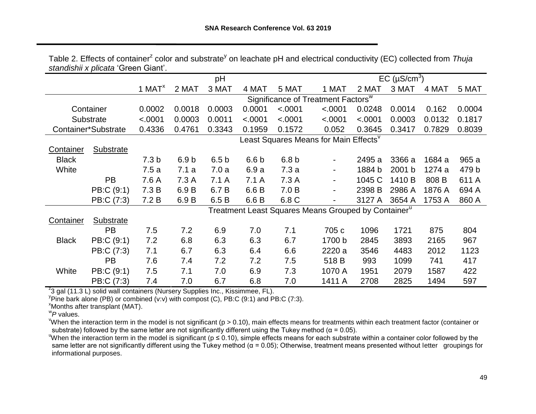|                  |                     |                  |                  | pH               |                  |                  |                                                                 |         | EC $(\mu S/cm^3)$ |        |        |
|------------------|---------------------|------------------|------------------|------------------|------------------|------------------|-----------------------------------------------------------------|---------|-------------------|--------|--------|
|                  |                     | 1 MAT $x$        | 2 MAT            | 3 MAT            | 4 MAT            | 5 MAT            | 1 MAT                                                           | 2 MAT   | 3 MAT             | 4 MAT  | 5 MAT  |
|                  |                     |                  |                  |                  |                  |                  | Significance of Treatment Factors <sup>w</sup>                  |         |                   |        |        |
|                  | Container           | 0.0002           | 0.0018           | 0.0003           | 0.0001           | < .0001          | < .0001                                                         | 0.0248  | 0.0014            | 0.162  | 0.0004 |
|                  | Substrate           | < .0001          | 0.0003           | 0.0011           | < .0001          | < .0001          | < .0001                                                         | < .0001 | 0.0003            | 0.0132 | 0.1817 |
|                  | Container*Substrate | 0.4336           | 0.4761           | 0.3343           | 0.1959           | 0.1572           | 0.052                                                           | 0.3645  | 0.3417            | 0.7829 | 0.8039 |
|                  |                     |                  |                  |                  |                  |                  | Least Squares Means for Main Effects <sup>v</sup>               |         |                   |        |        |
| <b>Container</b> | <b>Substrate</b>    |                  |                  |                  |                  |                  |                                                                 |         |                   |        |        |
| <b>Black</b>     |                     | 7.3 <sub>b</sub> | 6.9 <sub>b</sub> | 6.5 <sub>b</sub> | 6.6 <sub>b</sub> | 6.8 <sub>b</sub> |                                                                 | 2495 a  | 3366 a            | 1684 a | 965 a  |
| White            |                     | 7.5a             | 7.1a             | 7.0a             | 6.9a             | 7.3a             | $\blacksquare$                                                  | 1884 b  | 2001 b            | 1274 a | 479 b  |
|                  | <b>PB</b>           | 7.6 A            | 7.3A             | 7.1A             | 7.1 A            | 7.3 A            | $\blacksquare$                                                  | 1045 C  | 1410 B            | 808 B  | 611 A  |
|                  | PB:C (9:1)          | 7.3 B            | 6.9 B            | 6.7 B            | 6.6 B            | 7.0 B            |                                                                 | 2398 B  | 2986 A            | 1876 A | 694 A  |
|                  | PB:C (7:3)          | 7.2 B            | 6.9 B            | 6.5 B            | 6.6 B            | 6.8 C            |                                                                 | 3127 A  | 3654 A            | 1753 A | 860 A  |
|                  |                     |                  |                  |                  |                  |                  | Treatment Least Squares Means Grouped by Container <sup>u</sup> |         |                   |        |        |
| <b>Container</b> | Substrate           |                  |                  |                  |                  |                  |                                                                 |         |                   |        |        |
|                  | PB                  | 7.5              | 7.2              | 6.9              | 7.0              | 7.1              | 705 c                                                           | 1096    | 1721              | 875    | 804    |
| <b>Black</b>     | PB:C (9:1)          | 7.2              | 6.8              | 6.3              | 6.3              | 6.7              | 1700 b                                                          | 2845    | 3893              | 2165   | 967    |
|                  | PB:C (7:3)          | 7.1              | 6.7              | 6.3              | 6.4              | 6.6              | 2220 a                                                          | 3546    | 4483              | 2012   | 1123   |
|                  | <b>PB</b>           | 7.6              | 7.4              | 7.2              | 7.2              | 7.5              | 518 B                                                           | 993     | 1099              | 741    | 417    |
| White            | PB:C (9:1)          | 7.5              | 7.1              | 7.0              | 6.9              | 7.3              | 1070 A                                                          | 1951    | 2079              | 1587   | 422    |
|                  | PB:C (7:3)          | 7.4              | 7.0              | 6.7              | 6.8              | 7.0              | 1411 A                                                          | 2708    | 2825              | 1494   | 597    |

Table 2. Effects of container<sup>z</sup> color and substrate<sup>y</sup> on leachate pH and electrical conductivity (EC) collected from *Thuja standishii x plicata* 'Green Giant'.

<sup>z</sup>3 gal (11.3 L) solid wall containers (Nursery Supplies Inc., Kissimmee, FL).

 $\overline{P}$ Pine bark alone (PB) or combined (v:v) with compost (C), PB:C (9:1) and PB:C (7:3).

<sup>x</sup>Months after transplant (MAT).

w *P* values.

"When the interaction term in the model is not significant ( $p > 0.10$ ), main effects means for treatments within each treatment factor (container or substrate) followed by the same letter are not significantly different using the Tukey method ( $\alpha$  = 0.05).

When the interaction term in the model is significant ( $p \le 0.10$ ), simple effects means for each substrate within a container color followed by the same letter are not significantly different using the Tukey method ( $\alpha$  = 0.05); Otherwise, treatment means presented without letter groupings for informational purposes.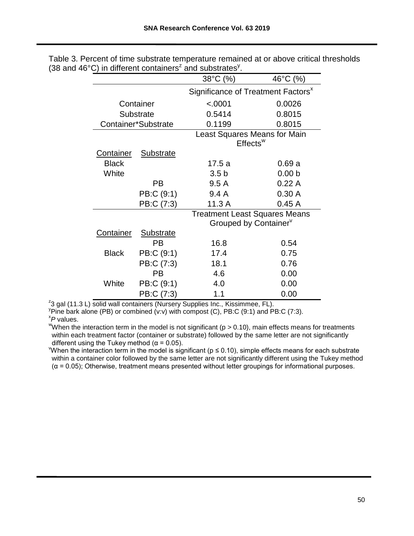|                                                                |                     | 38°C (%)                                       | 46°C (%)          |  |  |
|----------------------------------------------------------------|---------------------|------------------------------------------------|-------------------|--|--|
|                                                                |                     | Significance of Treatment Factors <sup>x</sup> |                   |  |  |
|                                                                | Container           | < .0001                                        | 0.0026            |  |  |
|                                                                | <b>Substrate</b>    | 0.5414                                         | 0.8015            |  |  |
|                                                                | Container*Substrate | 0.1199                                         | 0.8015            |  |  |
| <b>Least Squares Means for Main</b><br>$E$ ffects <sup>w</sup> |                     |                                                |                   |  |  |
| <b>Container</b>                                               | <b>Substrate</b>    |                                                |                   |  |  |
| <b>Black</b>                                                   |                     | 17.5 a                                         | 0.69a             |  |  |
| White                                                          |                     | 3.5 <sub>b</sub>                               | 0.00 <sub>b</sub> |  |  |
|                                                                | PB                  | 9.5A                                           | 0.22A             |  |  |
|                                                                | PB:C (9:1)          | 9.4A                                           | 0.30A             |  |  |
|                                                                | PB:C (7:3)          | 11.3A                                          | 0.45A             |  |  |
|                                                                |                     | <b>Treatment Least Squares Means</b>           |                   |  |  |
|                                                                |                     | Grouped by Container <sup>v</sup>              |                   |  |  |
| <b>Container</b>                                               | <b>Substrate</b>    |                                                |                   |  |  |
|                                                                | PВ                  | 16.8                                           | 0.54              |  |  |
| <b>Black</b>                                                   | PB:C (9:1)          | 17.4                                           | 0.75              |  |  |
|                                                                | PB:C (7:3)          | 18.1                                           | 0.76              |  |  |
|                                                                | РB                  | 4.6                                            | 0.00              |  |  |
| White                                                          | PB:C (9:1)          | 4.0                                            | 0.00              |  |  |
|                                                                | PB:C (7:3)          | 1.1                                            | 0.00              |  |  |

Table 3. Percent of time substrate temperature remained at or above critical thresholds (38 and 46°C) in different containers<sup>2</sup> and substrates<sup>y</sup>.

 $z$ 3 gal (11.3 L) solid wall containers (Nursery Supplies Inc., Kissimmee, FL).

 $\overline{P}$ Pine bark alone (PB) or combined (v:v) with compost (C), PB:C (9:1) and PB:C (7:3).

x *P* values.

"When the interaction term in the model is not significant ( $p > 0.10$ ), main effects means for treatments within each treatment factor (container or substrate) followed by the same letter are not significantly different using the Tukey method ( $\alpha$  = 0.05).

When the interaction term in the model is significant ( $p \le 0.10$ ), simple effects means for each substrate within a container color followed by the same letter are not significantly different using the Tukey method  $(\alpha = 0.05)$ ; Otherwise, treatment means presented without letter groupings for informational purposes.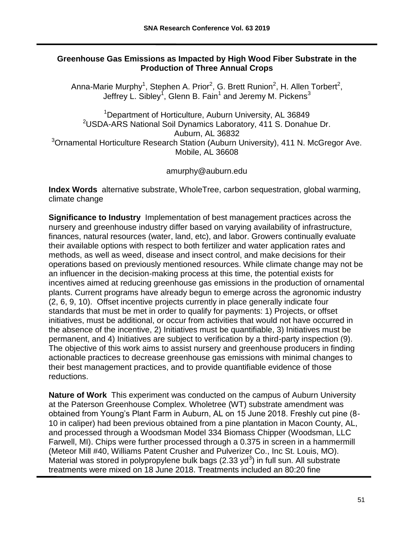## **Greenhouse Gas Emissions as Impacted by High Wood Fiber Substrate in the Production of Three Annual Crops**

Anna-Marie Murphy<sup>1</sup>, Stephen A. Prior<sup>2</sup>, G. Brett Runion<sup>2</sup>, H. Allen Torbert<sup>2</sup>, Jeffrey L. Sibley $^{\mathsf{1}}$ , Glenn B. Fain $^{\mathsf{1}}$  and Jeremy M. Pickens $^{\mathsf{3}}$ 

<sup>1</sup>Department of Horticulture, Auburn University, AL 36849 <sup>2</sup>USDA-ARS National Soil Dynamics Laboratory, 411 S. Donahue Dr. Auburn, AL 36832 <sup>3</sup> Ornamental Horticulture Research Station (Auburn University), 411 N. McGregor Ave. Mobile, AL 36608

amurphy@auburn.edu

**Index Words** alternative substrate, WholeTree, carbon sequestration, global warming, climate change

**Significance to Industry** Implementation of best management practices across the nursery and greenhouse industry differ based on varying availability of infrastructure, finances, natural resources (water, land, etc), and labor. Growers continually evaluate their available options with respect to both fertilizer and water application rates and methods, as well as weed, disease and insect control, and make decisions for their operations based on previously mentioned resources. While climate change may not be an influencer in the decision-making process at this time, the potential exists for incentives aimed at reducing greenhouse gas emissions in the production of ornamental plants. Current programs have already begun to emerge across the agronomic industry (2, 6, 9, 10). Offset incentive projects currently in place generally indicate four standards that must be met in order to qualify for payments: 1) Projects, or offset initiatives, must be additional, or occur from activities that would not have occurred in the absence of the incentive, 2) Initiatives must be quantifiable, 3) Initiatives must be permanent, and 4) Initiatives are subject to verification by a third-party inspection (9). The objective of this work aims to assist nursery and greenhouse producers in finding actionable practices to decrease greenhouse gas emissions with minimal changes to their best management practices, and to provide quantifiable evidence of those reductions.

**Nature of Work** This experiment was conducted on the campus of Auburn University at the Paterson Greenhouse Complex. Wholetree (WT) substrate amendment was obtained from Young's Plant Farm in Auburn, AL on 15 June 2018. Freshly cut pine (8- 10 in caliper) had been previous obtained from a pine plantation in Macon County, AL, and processed through a Woodsman Model 334 Biomass Chipper (Woodsman, LLC Farwell, MI). Chips were further processed through a 0.375 in screen in a hammermill (Meteor Mill #40, Williams Patent Crusher and Pulverizer Co., Inc St. Louis, MO). Material was stored in polypropylene bulk bags (2.33 yd<sup>3</sup>) in full sun. All substrate treatments were mixed on 18 June 2018. Treatments included an 80:20 fine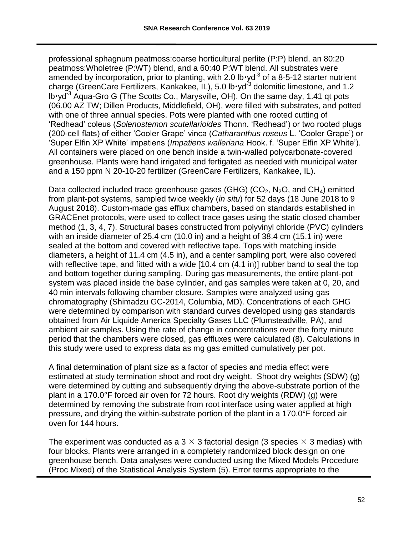professional sphagnum peatmoss:coarse horticultural perlite (P:P) blend, an 80:20 peatmoss:Wholetree (P:WT) blend, and a 60:40 P:WT blend. All substrates were amended by incorporation, prior to planting, with 2.0 lb $\cdot$ yd<sup>-3</sup> of a 8-5-12 starter nutrient charge (GreenCare Fertilizers, Kankakee, IL), 5.0 lb·yd<sup>-3</sup> dolomitic limestone, and 1.2  $lb \cdot yd^{-3}$  Aqua-Gro G (The Scotts Co., Marysville, OH). On the same day, 1.41 qt pots (06.00 AZ TW; Dillen Products, Middlefield, OH), were filled with substrates, and potted with one of three annual species. Pots were planted with one rooted cutting of 'Redhead' coleus (*Solenostemon scutellarioides* Thonn. 'Redhead') or two rooted plugs (200-cell flats) of either 'Cooler Grape' vinca (*Catharanthus roseus* L. 'Cooler Grape') or 'Super Elfin XP White' impatiens (*Impatiens walleriana* Hook. f. 'Super Elfin XP White'). All containers were placed on one bench inside a twin-walled polycarbonate-covered greenhouse. Plants were hand irrigated and fertigated as needed with municipal water and a 150 ppm N 20-10-20 fertilizer (GreenCare Fertilizers, Kankakee, IL).

Data collected included trace greenhouse gases (GHG) ( $CO<sub>2</sub>$ , N<sub>2</sub>O, and CH<sub>4</sub>) emitted from plant-pot systems, sampled twice weekly (*in situ*) for 52 days (18 June 2018 to 9 August 2018). Custom-made gas efflux chambers, based on standards established in GRACEnet protocols, were used to collect trace gases using the static closed chamber method (1, 3, 4, 7). Structural bases constructed from polyvinyl chloride (PVC) cylinders with an inside diameter of 25.4 cm (10.0 in) and a height of 38.4 cm (15.1 in) were sealed at the bottom and covered with reflective tape. Tops with matching inside diameters, a height of 11.4 cm (4.5 in), and a center sampling port, were also covered with reflective tape, and fitted with a wide [10.4 cm (4.1 in)] rubber band to seal the top and bottom together during sampling. During gas measurements, the entire plant-pot system was placed inside the base cylinder, and gas samples were taken at 0, 20, and 40 min intervals following chamber closure. Samples were analyzed using gas chromatography (Shimadzu GC-2014, Columbia, MD). Concentrations of each GHG were determined by comparison with standard curves developed using gas standards obtained from Air Liquide America Specialty Gases LLC (Plumsteadville, PA), and ambient air samples. Using the rate of change in concentrations over the forty minute period that the chambers were closed, gas effluxes were calculated (8). Calculations in this study were used to express data as mg gas emitted cumulatively per pot.

A final determination of plant size as a factor of species and media effect were estimated at study termination shoot and root dry weight. Shoot dry weights (SDW) (g) were determined by cutting and subsequently drying the above-substrate portion of the plant in a 170.0°F forced air oven for 72 hours. Root dry weights (RDW) (g) were determined by removing the substrate from root interface using water applied at high pressure, and drying the within-substrate portion of the plant in a 170.0°F forced air oven for 144 hours.

The experiment was conducted as a 3  $\times$  3 factorial design (3 species  $\times$  3 medias) with four blocks. Plants were arranged in a completely randomized block design on one greenhouse bench. Data analyses were conducted using the Mixed Models Procedure (Proc Mixed) of the Statistical Analysis System (5). Error terms appropriate to the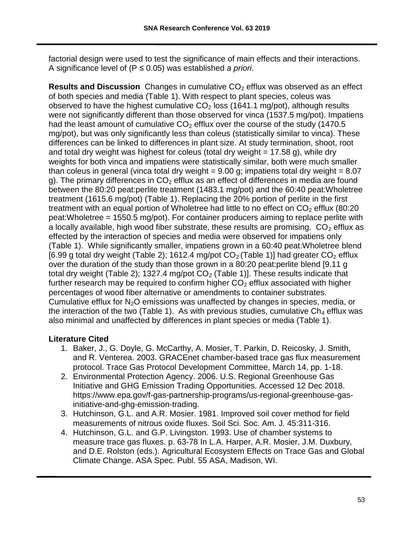factorial design were used to test the significance of main effects and their interactions. A significance level of (P ≤ 0.05) was established *a priori*.

**Results and Discussion** Changes in cumulative CO<sub>2</sub> efflux was observed as an effect of both species and media (Table 1). With respect to plant species, coleus was observed to have the highest cumulative  $CO<sub>2</sub>$  loss (1641.1 mg/pot), although results were not significantly different than those observed for vinca (1537.5 mg/pot). Impatiens had the least amount of cumulative  $CO<sub>2</sub>$  efflux over the course of the study (1470.5) mg/pot), but was only significantly less than coleus (statistically similar to vinca). These differences can be linked to differences in plant size. At study termination, shoot, root and total dry weight was highest for coleus (total dry weight  $= 17.58$  g), while dry weights for both vinca and impatiens were statistically similar, both were much smaller than coleus in general (vinca total dry weight  $= 9.00$  g; impatiens total dry weight  $= 8.07$ g). The primary differences in  $CO<sub>2</sub>$  efflux as an effect of differences in media are found between the 80:20 peat:perlite treatment (1483.1 mg/pot) and the 60:40 peat:Wholetree treatment (1615.6 mg/pot) (Table 1). Replacing the 20% portion of perlite in the first treatment with an equal portion of Wholetree had little to no effect on  $CO<sub>2</sub>$  efflux (80:20) peat:Wholetree = 1550.5 mg/pot). For container producers aiming to replace perlite with a locally available, high wood fiber substrate, these results are promising.  $CO<sub>2</sub>$  efflux as effected by the interaction of species and media were observed for impatiens only (Table 1). While significantly smaller, impatiens grown in a 60:40 peat:Wholetree blend [6.99 g total dry weight (Table 2); 1612.4 mg/pot  $CO<sub>2</sub>$  (Table 1)] had greater  $CO<sub>2</sub>$  efflux over the duration of the study than those grown in a 80:20 peat:perlite blend [9.11 g total dry weight (Table 2); 1327.4 mg/pot  $CO<sub>2</sub>$  (Table 1)]. These results indicate that further research may be required to confirm higher  $CO<sub>2</sub>$  efflux associated with higher percentages of wood fiber alternative or amendments to container substrates. Cumulative efflux for  $N<sub>2</sub>O$  emissions was unaffected by changes in species, media, or the interaction of the two (Table 1). As with previous studies, cumulative  $Ch_4$  efflux was also minimal and unaffected by differences in plant species or media (Table 1).

# **Literature Cited**

- 1. Baker, J., G. Doyle, G. McCarthy, A. Mosier, T. Parkin, D. Reicosky, J. Smith, and R. Venterea. 2003. GRACEnet chamber-based trace gas flux measurement protocol. Trace Gas Protocol Development Committee, March 14, pp. 1-18.
- 2. Environmental Protection Agency. 2006. U.S. Regional Greenhouse Gas Initiative and GHG Emission Trading Opportunities. Accessed 12 Dec 2018. https://www.epa.gov/f-gas-partnership-programs/us-regional-greenhouse-gasinitiative-and-ghg-emission-trading.
- 3. Hutchinson, G.L. and A.R. Mosier. 1981. Improved soil cover method for field measurements of nitrous oxide fluxes. Soil Sci. Soc. Am. J. 45:311-316.
- 4. Hutchinson, G.L. and G.P. Livingston. 1993. Use of chamber systems to measure trace gas fluxes. p. 63-78 In L.A. Harper, A.R. Mosier, J.M. Duxbury, and D.E. Rolston (eds.). Agricultural Ecosystem Effects on Trace Gas and Global Climate Change. ASA Spec. Publ. 55 ASA, Madison, WI.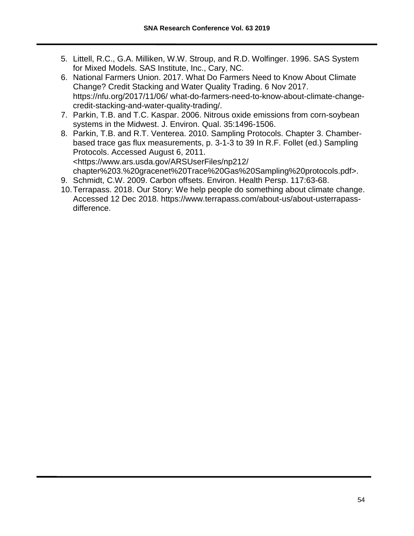- 5. Littell, R.C., G.A. Milliken, W.W. Stroup, and R.D. Wolfinger. 1996. SAS System for Mixed Models. SAS Institute, Inc., Cary, NC.
- 6. National Farmers Union. 2017. What Do Farmers Need to Know About Climate Change? Credit Stacking and Water Quality Trading. 6 Nov 2017. https://nfu.org/2017/11/06/ what-do-farmers-need-to-know-about-climate-changecredit-stacking-and-water-quality-trading/.
- 7. Parkin, T.B. and T.C. Kaspar. 2006. Nitrous oxide emissions from corn-soybean systems in the Midwest. J. Environ. Qual. 35:1496-1506.
- 8. Parkin, T.B. and R.T. Venterea. 2010. Sampling Protocols. Chapter 3. Chamberbased trace gas flux measurements, p. 3-1-3 to 39 In R.F. Follet (ed.) Sampling Protocols. Accessed August 6, 2011. <https://www.ars.usda.gov/ARSUserFiles/np212/ chapter%203.%20gracenet%20Trace%20Gas%20Sampling%20protocols.pdf>.
- 9. Schmidt, C.W. 2009. Carbon offsets. Environ. Health Persp. 117:63-68.
- 10.Terrapass. 2018. Our Story: We help people do something about climate change. Accessed 12 Dec 2018. https://www.terrapass.com/about-us/about-usterrapassdifference.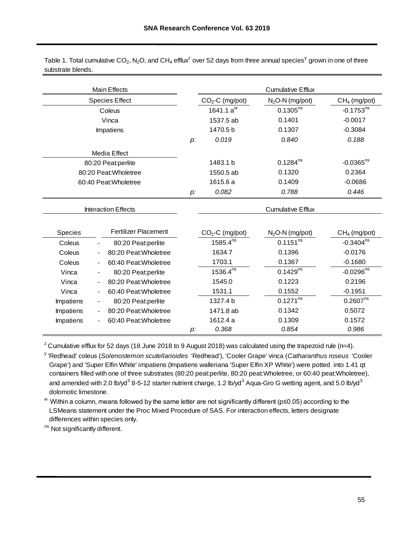|                   | Table 1. Total cumulative CO <sub>2</sub> , N <sub>2</sub> O, and CH <sub>4</sub> efflux <sup>2</sup> over 52 days from three annual species <sup>y</sup> grown in one of three |  |  |  |
|-------------------|---------------------------------------------------------------------------------------------------------------------------------------------------------------------------------|--|--|--|
| substrate blends. |                                                                                                                                                                                 |  |  |  |

| substrate blends.     |                              | Table 1. Total cumulative CO <sub>2</sub> , N <sub>2</sub> O, and CH <sub>4</sub> efflux <sup>2</sup> over 52 days from three annual species <sup>y</sup> grown in one of three |          |                  |                          |                         |
|-----------------------|------------------------------|---------------------------------------------------------------------------------------------------------------------------------------------------------------------------------|----------|------------------|--------------------------|-------------------------|
|                       |                              | <b>Main Effects</b>                                                                                                                                                             |          |                  | <b>Cumulative Efflux</b> |                         |
|                       |                              | <b>Species Effect</b>                                                                                                                                                           |          | $CO2-C$ (mg/pot) | $N2O-N$ (mg/pot)         | $CH4$ (mg/pot)          |
|                       |                              | Coleus                                                                                                                                                                          |          | 1641.1 $a^w$     | $0.1305^{ns}$            | $-0.1753^{ns}$          |
|                       |                              | Vinca                                                                                                                                                                           |          | 1537.5 ab        | 0.1401                   | $-0.0017$               |
|                       |                              | Impatiens                                                                                                                                                                       |          | 1470.5 b         | 0.1307                   | $-0.3084$               |
|                       |                              |                                                                                                                                                                                 | p:       | 0.019            | 0.840                    | 0.188                   |
|                       |                              | Media Effect                                                                                                                                                                    |          |                  |                          |                         |
|                       |                              | 80:20 Peat:perlite                                                                                                                                                              |          | 1483.1 b         | $0.1284^{ns}$            | $-0.0365$ <sup>ns</sup> |
| 80:20 Peat: Wholetree |                              |                                                                                                                                                                                 |          | 1550.5 ab        | 0.1320                   | 0.2364                  |
| 60:40 Peat: Wholetree |                              |                                                                                                                                                                                 | 1615.6 a | 0.1409           | $-0.0686$                |                         |
|                       |                              |                                                                                                                                                                                 | p:       | 0.082            | 0.788                    | 0.446                   |
|                       |                              | <b>Interaction Effects</b>                                                                                                                                                      |          |                  | <b>Cumulative Efflux</b> |                         |
|                       |                              |                                                                                                                                                                                 |          |                  |                          |                         |
| Species               |                              | <b>Fertilizer Placement</b>                                                                                                                                                     |          | $CO2-C$ (mg/pot) | $N_2$ O-N (mg/pot)       | $CH4$ (mg/pot)          |
| Coleus                |                              | 80:20 Peat:perlite                                                                                                                                                              |          | $1585.4^{ns}$    | $0.1151^{ns}$            | $-0.3404^{ns}$          |
| Coleus                |                              | 80:20 Peat: Wholetree                                                                                                                                                           |          | 1634.7           | 0.1396                   | $-0.0176$               |
| Coleus                |                              | 60:40 Peat: Wholetree                                                                                                                                                           |          | 1703.1           | 0.1367                   | $-0.1680$               |
| Vinca                 |                              | 80:20 Peat:perlite                                                                                                                                                              |          | $1536.4^{ns}$    | $0.1429^{ns}$            | $-0.0296^{ns}$          |
| Vinca                 |                              | 80:20 Peat: Wholetree                                                                                                                                                           |          | 1545.0           | 0.1223                   | 0.2196                  |
| Vinca                 | $\overline{a}$               | 60:40 Peat: Wholetree                                                                                                                                                           |          | 1531.1           | 0.1552                   | $-0.1951$               |
| <b>Impatiens</b>      |                              | 80:20 Peat:perlite                                                                                                                                                              |          | 1327.4 b         | $0.1271^{ns}$            | 0.2607 <sup>ns</sup>    |
| Impatiens             | $\qquad \qquad \blacksquare$ | 80:20 Peat: Wholetree                                                                                                                                                           |          | 1471.8 ab        | 0.1342                   | 0.5072                  |
| Impatiens             |                              | 60:40 Peat: Wholetree                                                                                                                                                           |          | 1612.4 a         | 0.1309                   | 0.1572                  |
|                       |                              |                                                                                                                                                                                 | p:       | 0.368            | 0.854                    | 0.986                   |

 $2$  Cumulative efflux for 52 days (18 June 2018 to 9 August 2018) was calculated using the trapezoid rule (n=4).

y 'Redhead' coleus (*Solenostemon scutellarioides* 'Redhead'), 'Cooler Grape' vinca (*Catharanthus roseus* 'Cooler Grape') and 'Super Elfin White' impatiens (Impatiens walleriana 'Super Elfin XP White') were potted into 1.41 qt containers filled with one of three substrates (80:20 peat:perlite, 80:20 peat:Wholetree, or 60:40 peat:Wholetree), and amended with 2.0 lb/yd<sup>3</sup> 8-5-12 starter nutrient charge, 1.2 lb/yd<sup>3</sup> Aqua-Gro G wetting agent, and 5.0 lb/yd<sup>3</sup> dolomotic limestone.

w Within a column, means followed by the same letter are not significantly different (p≤0.05) according to the LSMeans statement under the Proc Mixed Procedure of SAS. For interaction effects, letters designate differences within species only.

ns Not significantly different.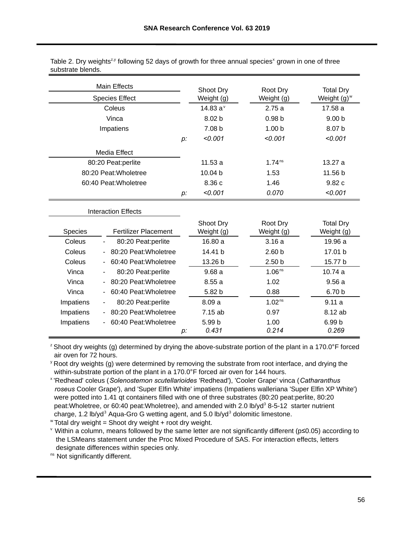| Table 2. Dry weights <sup>zy</sup> following 52 days of growth for three annual species <sup>x</sup> grown in one of three |  |  |  |  |
|----------------------------------------------------------------------------------------------------------------------------|--|--|--|--|
| substrate blends.                                                                                                          |  |  |  |  |

|                       | <b>Main Effects</b>                            |    | Shoot Dry       | Root Dry           | <b>Total Dry</b>        |
|-----------------------|------------------------------------------------|----|-----------------|--------------------|-------------------------|
|                       | <b>Species Effect</b>                          |    | Weight (g)      | Weight (g)         | Weight (g) <sup>w</sup> |
|                       | Coleus                                         |    |                 | 2.75a              | 17.58 a                 |
|                       | Vinca                                          |    | 8.02 b          | 0.98 <sub>b</sub>  | 9.00 <sub>b</sub>       |
|                       | Impatiens                                      |    | 7.08 b          | 1.00 <sub>b</sub>  | 8.07 b                  |
|                       |                                                | p: | < 0.001         | < 0.001            | < 0.001                 |
|                       | Media Effect                                   |    |                 |                    |                         |
|                       | 80:20 Peat:perlite                             |    | 11.53a          | 1.74 <sup>ns</sup> | 13.27a                  |
|                       | 80:20 Peat: Wholetree                          |    | 10.04 b         | 1.53               | 11.56 b                 |
| 60:40 Peat: Wholetree |                                                |    | 8.36 c          | 1.46               | 9.82 c                  |
|                       |                                                | p: | < 0.001         | 0.070              | < 0.001                 |
|                       | <b>Interaction Effects</b>                     |    |                 |                    |                         |
|                       |                                                |    | Shoot Dry       | Root Dry           | <b>Total Dry</b>        |
| Species               | <b>Fertilizer Placement</b>                    |    | Weight (g)      | Weight (g)         | Weight (g)              |
| Coleus                | 80:20 Peat:perlite                             |    | 16.80 a         | 3.16a              | 19.96 a                 |
| Coleus                | 80:20 Peat: Wholetree<br>$\blacksquare$        |    | 14.41 b         | 2.60 <sub>b</sub>  | 17.01 b                 |
| Coleus                | 60:40 Peat: Wholetree                          |    | 13.26 b         | 2.50 <sub>b</sub>  | 15.77 b                 |
| Vinca                 | 80:20 Peat:perlite<br>$\overline{\phantom{a}}$ |    | 9.68a           | 1.06 <sup>ns</sup> | 10.74 a                 |
| Vinca                 | 80:20 Peat: Wholetree                          |    | 8.55a           | 1.02               | 9.56a                   |
| Vinca                 | 60:40 Peat: Wholetree                          |    | 5.82 b          | 0.88               | 6.70 b                  |
| Impatiens             | 80:20 Peat:perlite                             |    | 8.09a           | $1.02^{ns}$        | 9.11a                   |
| Impatiens             | 80:20 Peat: Wholetree                          |    | 7.15 ab         | 0.97               | 8.12 ab                 |
| Impatiens             | 60:40 Peat: Wholetree                          | p: | 5.99 b<br>0.431 | 1.00<br>0.214      | 6.99 b<br>0.269         |

<sup>z</sup> Shoot dry weights (g) determined by drying the above-substrate portion of the plant in a 170.0°F forced air oven for 72 hours.

 $\frac{y}{x}$  Root dry weights (g) were determined by removing the substrate from root interface, and drying the within-substrate portion of the plant in a 170.0°F forced air oven for 144 hours.

x 'Redhead' coleus (*Solenostemon scutellarioides* 'Redhead'), 'Cooler Grape' vinca (*Catharanthus roseus* Cooler Grape'), and 'Super Elfin White' impatiens (Impatiens walleriana 'Super Elfin XP White') were potted into 1.41 qt containers filled with one of three substrates (80:20 peat:perlite, 80:20 peat: Wholetree, or 60:40 peat: Wholetree), and amended with 2.0 lb/yd<sup>3</sup> 8-5-12 starter nutrient charge, 1.2 lb/yd<sup>3</sup> Agua-Gro G wetting agent, and 5.0 lb/yd<sup>3</sup> dolomitic limestone.

 $"Total dry weight = Shoot dry weight + root dry weight.$ 

v Within a column, means followed by the same letter are not significantly different (p≤0.05) according to the LSMeans statement under the Proc Mixed Procedure of SAS. For interaction effects, letters designate differences within species only.

ns Not significantly different.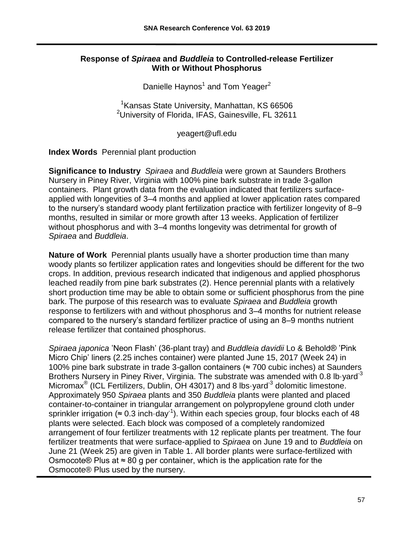## **Response of** *Spiraea* **and** *Buddleia* **to Controlled-release Fertilizer With or Without Phosphorus**

Danielle Haynos<sup>1</sup> and Tom Yeager<sup>2</sup>

<sup>1</sup> Kansas State University, Manhattan, KS 66506 <sup>2</sup>University of Florida, IFAS, Gainesville, FL 32611

yeagert@ufl.edu

**Index Words** Perennial plant production

**Significance to Industry** *Spiraea* and *Buddleia* were grown at Saunders Brothers Nursery in Piney River, Virginia with 100% pine bark substrate in trade 3-gallon containers. Plant growth data from the evaluation indicated that fertilizers surfaceapplied with longevities of 3–4 months and applied at lower application rates compared to the nursery's standard woody plant fertilization practice with fertilizer longevity of 8–9 months, resulted in similar or more growth after 13 weeks. Application of fertilizer without phosphorus and with 3–4 months longevity was detrimental for growth of *Spiraea* and *Buddleia*.

**Nature of Work** Perennial plants usually have a shorter production time than many woody plants so fertilizer application rates and longevities should be different for the two crops. In addition, previous research indicated that indigenous and applied phosphorus leached readily from pine bark substrates (2). Hence perennial plants with a relatively short production time may be able to obtain some or sufficient phosphorus from the pine bark. The purpose of this research was to evaluate *Spiraea* and *Buddleia* growth response to fertilizers with and without phosphorus and 3–4 months for nutrient release compared to the nursery's standard fertilizer practice of using an 8–9 months nutrient release fertilizer that contained phosphorus.

*Spiraea japonica* ʽNeon Flash' (36-plant tray) and *Buddleia davidii* Lo & Behold® ʽPink Micro Chip' liners (2.25 inches container) were planted June 15, 2017 (Week 24) in 100% pine bark substrate in trade 3-gallon containers (≈ 700 cubic inches) at Saunders Brothers Nursery in Piney River, Virginia. The substrate was amended with 0.8 lb yard<sup>-3</sup> Micromax<sup>®</sup> (ICL Fertilizers, Dublin, OH 43017) and 8 lbs yard<sup>-3</sup> dolomitic limestone. Approximately 950 *Spiraea* plants and 350 *Buddleia* plants were planted and placed container-to-container in triangular arrangement on polypropylene ground cloth under sprinkler irrigation ( $\approx 0.3$  inch $\cdot$ day<sup>-1</sup>). Within each species group, four blocks each of 48 plants were selected. Each block was composed of a completely randomized arrangement of four fertilizer treatments with 12 replicate plants per treatment. The four fertilizer treatments that were surface-applied to *Spiraea* on June 19 and to *Buddleia* on June 21 (Week 25) are given in Table 1. All border plants were surface-fertilized with Osmocote® Plus at  $\approx 80$  g per container, which is the application rate for the Osmocote® Plus used by the nursery.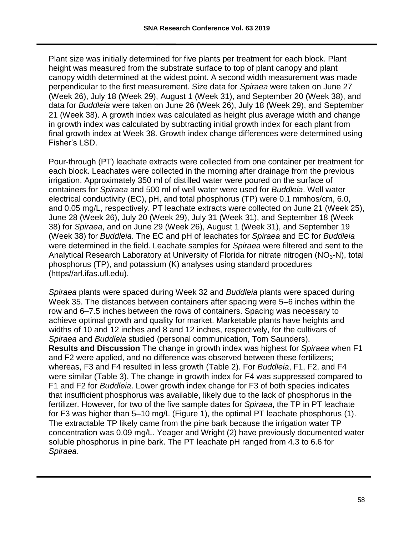Plant size was initially determined for five plants per treatment for each block. Plant height was measured from the substrate surface to top of plant canopy and plant canopy width determined at the widest point. A second width measurement was made perpendicular to the first measurement. Size data for *Spiraea* were taken on June 27 (Week 26), July 18 (Week 29), August 1 (Week 31), and September 20 (Week 38), and data for *Buddleia* were taken on June 26 (Week 26), July 18 (Week 29), and September 21 (Week 38). A growth index was calculated as height plus average width and change in growth index was calculated by subtracting initial growth index for each plant from final growth index at Week 38. Growth index change differences were determined using Fisher's LSD.

Pour-through (PT) leachate extracts were collected from one container per treatment for each block. Leachates were collected in the morning after drainage from the previous irrigation. Approximately 350 ml of distilled water were poured on the surface of containers for *Spiraea* and 500 ml of well water were used for *Buddleia*. Well water electrical conductivity (EC), pH, and total phosphorus (TP) were 0.1 mmhos/cm, 6.0, and 0.05 mg/L, respectively. PT leachate extracts were collected on June 21 (Week 25), June 28 (Week 26), July 20 (Week 29), July 31 (Week 31), and September 18 (Week 38) for *Spiraea*, and on June 29 (Week 26), August 1 (Week 31), and September 19 (Week 38) for *Buddleia*. The EC and pH of leachates for *Spiraea* and EC for *Buddleia* were determined in the field. Leachate samples for *Spiraea* were filtered and sent to the Analytical Research Laboratory at University of Florida for nitrate nitrogen (NO3-N), total phosphorus (TP), and potassium (K) analyses using standard procedures (https//arl.ifas.ufl.edu).

*Spiraea* plants were spaced during Week 32 and *Buddleia* plants were spaced during Week 35. The distances between containers after spacing were 5–6 inches within the row and 6–7.5 inches between the rows of containers. Spacing was necessary to achieve optimal growth and quality for market. Marketable plants have heights and widths of 10 and 12 inches and 8 and 12 inches, respectively, for the cultivars of *Spiraea* and *Buddleia* studied (personal communication, Tom Saunders). **Results and Discussion** The change in growth index was highest for *Spiraea* when F1 and F2 were applied, and no difference was observed between these fertilizers; whereas, F3 and F4 resulted in less growth (Table 2). For *Buddleia*, F1, F2, and F4 were similar (Table 3). The change in growth index for F4 was suppressed compared to F1 and F2 for *Buddleia*. Lower growth index change for F3 of both species indicates that insufficient phosphorus was available, likely due to the lack of phosphorus in the fertilizer. However, for two of the five sample dates for *Spiraea*, the TP in PT leachate for F3 was higher than 5–10 mg/L (Figure 1), the optimal PT leachate phosphorus (1). The extractable TP likely came from the pine bark because the irrigation water TP concentration was 0.09 mg/L. Yeager and Wright (2) have previously documented water soluble phosphorus in pine bark. The PT leachate pH ranged from 4.3 to 6.6 for *Spiraea*.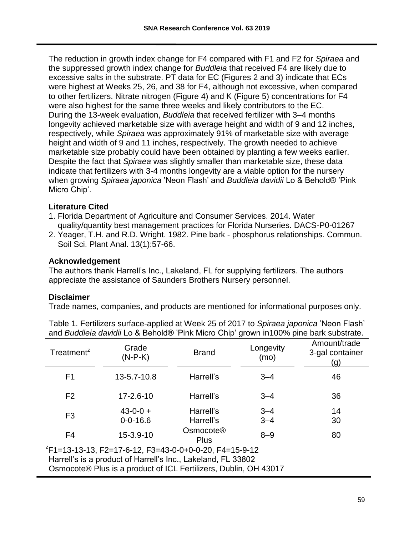The reduction in growth index change for F4 compared with F1 and F2 for *Spiraea* and the suppressed growth index change for *Buddleia* that received F4 are likely due to excessive salts in the substrate. PT data for EC (Figures 2 and 3) indicate that ECs were highest at Weeks 25, 26, and 38 for F4, although not excessive, when compared to other fertilizers. Nitrate nitrogen (Figure 4) and K (Figure 5) concentrations for F4 were also highest for the same three weeks and likely contributors to the EC. During the 13-week evaluation, *Buddleia* that received fertilizer with 3–4 months longevity achieved marketable size with average height and width of 9 and 12 inches, respectively, while *Spiraea* was approximately 91% of marketable size with average height and width of 9 and 11 inches, respectively. The growth needed to achieve marketable size probably could have been obtained by planting a few weeks earlier. Despite the fact that *Spiraea* was slightly smaller than marketable size, these data indicate that fertilizers with 3-4 months longevity are a viable option for the nursery when growing *Spiraea japonica* ʽNeon Flash' and *Buddleia davidii* Lo & Behold® ʽPink Micro Chip'.

## **Literature Cited**

- 1. Florida Department of Agriculture and Consumer Services. 2014. Water quality/quantity best management practices for Florida Nurseries. DACS-P0-01267
- 2. Yeager, T.H. and R.D. Wright. 1982. Pine bark phosphorus relationships. Commun. Soil Sci. Plant Anal. 13(1):57-66.

## **Acknowledgement**

The authors thank Harrell's Inc., Lakeland, FL for supplying fertilizers. The authors appreciate the assistance of Saunders Brothers Nursery personnel.

#### **Disclaimer**

Trade names, companies, and products are mentioned for informational purposes only.

| Treatment <sup>z</sup> | Grade<br>$(N-P-K)$               | <b>Brand</b>                         | Longevity<br>(mo)  | Amount/trade<br>3-gal container<br>(g) |
|------------------------|----------------------------------|--------------------------------------|--------------------|----------------------------------------|
| F <sub>1</sub>         | 13-5.7-10.8                      | Harrell's                            | $3 - 4$            | 46                                     |
| F <sub>2</sub>         | $17 - 2.6 - 10$                  | Harrell's                            | $3 - 4$            | 36                                     |
| F <sub>3</sub>         | $43 - 0 - 0 +$<br>$0 - 0 - 16.6$ | Harrell's<br>Harrell's               | $3 - 4$<br>$3 - 4$ | 14<br>30                               |
| F <sub>4</sub>         | $15 - 3.9 - 10$                  | Osmocote <sup>®</sup><br><b>Plus</b> | $8 - 9$            | 80                                     |

Table 1. Fertilizers surface-applied at Week 25 of 2017 to Spiraea japonica 'Neon Flash' and *Buddleia davidii* Lo & Behold® 'Pink Micro Chip' grown in100% pine bark substrate.

z F1=13-13-13, F2=17-6-12, F3=43-0-0+0-0-20, F4=15-9-12 Harrell's is a product of Harrell's Inc., Lakeland, FL 33802 Osmocote® Plus is a product of ICL Fertilizers, Dublin, OH 43017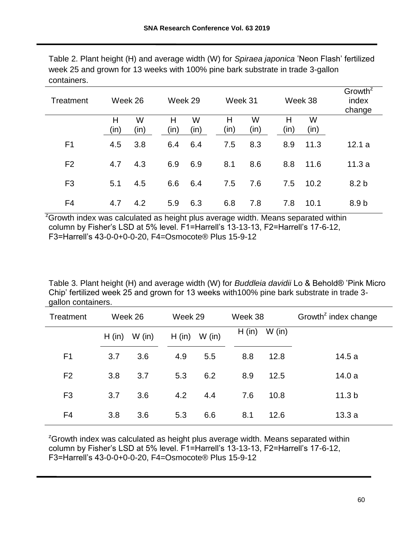| Treatment      |           | Week 26   | Week 29   |           | Week 31   |           |           | Week 38   | Growth <sup>z</sup><br>index<br>change |
|----------------|-----------|-----------|-----------|-----------|-----------|-----------|-----------|-----------|----------------------------------------|
|                | Н<br>(in) | W<br>(in) | Н<br>(in) | W<br>(in) | Н<br>(in) | W<br>(in) | н<br>(in) | W<br>(in) |                                        |
| F <sub>1</sub> | 4.5       | 3.8       | 6.4       | 6.4       | 7.5       | 8.3       | 8.9       | 11.3      | 12.1a                                  |
| F <sub>2</sub> | 4.7       | 4.3       | 6.9       | 6.9       | 8.1       | 8.6       | 8.8       | 11.6      | 11.3a                                  |
| F <sub>3</sub> | 5.1       | 4.5       | 6.6       | 6.4       | 7.5       | 7.6       | 7.5       | 10.2      | 8.2 <sub>b</sub>                       |
| F4             | 4.7       | 4.2       | 5.9       | 6.3       | 6.8       | 7.8       | 7.8       | 10.1      | 8.9 <sub>b</sub>                       |

Table 2. Plant height (H) and average width (W) for *Spiraea japonica* 'Neon Flash' fertilized week 25 and grown for 13 weeks with 100% pine bark substrate in trade 3-gallon containers.

 $2\overline{G}$  Crowth index was calculated as height plus average width. Means separated within column by Fisher's LSD at 5% level. F1=Harrell's 13-13-13, F2=Harrell's 17-6-12, F3=Harrell's 43-0-0+0-0-20, F4=Osmocote® Plus 15-9-12

Table 3. Plant height (H) and average width (W) for *Buddleia davidii* Lo & Behold<sup>®</sup> 'Pink Micro Chip' fertilized week 25 and grown for 13 weeks with100% pine bark substrate in trade 3 gallon containers.

| Treatment      |        | Week 26  |        | Week 29  |        | Week 38  | Growth <sup><math>z</math></sup> index change |
|----------------|--------|----------|--------|----------|--------|----------|-----------------------------------------------|
|                | H (in) | $W$ (in) | H (in) | $W$ (in) | H (in) | $W$ (in) |                                               |
| F <sub>1</sub> | 3.7    | 3.6      | 4.9    | 5.5      | 8.8    | 12.8     | 14.5a                                         |
| F <sub>2</sub> | 3.8    | 3.7      | 5.3    | 6.2      | 8.9    | 12.5     | 14.0a                                         |
| F <sub>3</sub> | 3.7    | 3.6      | 4.2    | 4.4      | 7.6    | 10.8     | 11.3 <sub>b</sub>                             |
| F4             | 3.8    | 3.6      | 5.3    | 6.6      | 8.1    | 12.6     | 13.3a                                         |

 $Z$ Growth index was calculated as height plus average width. Means separated within column by Fisher's LSD at 5% level. F1=Harrell's 13-13-13, F2=Harrell's 17-6-12, F3=Harrell's 43-0-0+0-0-20, F4=Osmocote® Plus 15-9-12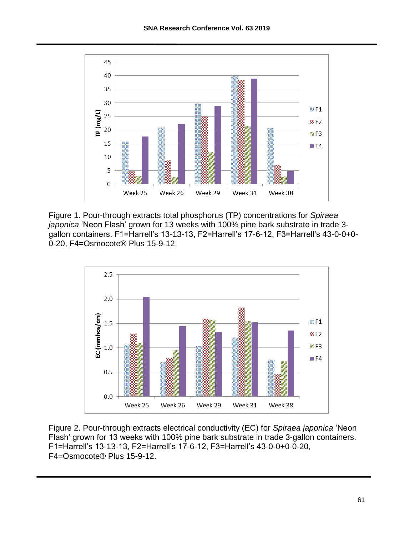

Figure 1. Pour-through extracts total phosphorus (TP) concentrations for *Spiraea japonica* ʽNeon Flash' grown for 13 weeks with 100% pine bark substrate in trade 3 gallon containers. F1=Harrell's 13-13-13, F2=Harrell's 17-6-12, F3=Harrell's 43-0-0+0- 0-20, F4=Osmocote® Plus 15-9-12.



Figure 2. Pour-through extracts electrical conductivity (EC) for *Spiraea japonica* 'Neon Flash' grown for 13 weeks with 100% pine bark substrate in trade 3-gallon containers. F1=Harrell's 13-13-13, F2=Harrell's 17-6-12, F3=Harrell's 43-0-0+0-0-20, F4=Osmocote® Plus 15-9-12.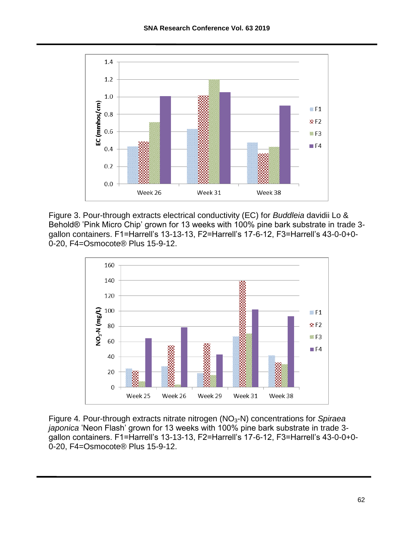

Figure 3. Pour-through extracts electrical conductivity (EC) for *Buddleia* davidii Lo & Behold® 'Pink Micro Chip' grown for 13 weeks with 100% pine bark substrate in trade 3gallon containers. F1=Harrell's 13-13-13, F2=Harrell's 17-6-12, F3=Harrell's 43-0-0+0- 0-20, F4=Osmocote® Plus 15-9-12.



Figure 4. Pour-through extracts nitrate nitrogen (NO<sub>3</sub>-N) concentrations for *Spiraea japonica* ʽNeon Flash' grown for 13 weeks with 100% pine bark substrate in trade 3 gallon containers. F1=Harrell's 13-13-13, F2=Harrell's 17-6-12, F3=Harrell's 43-0-0+0- 0-20, F4=Osmocote® Plus 15-9-12.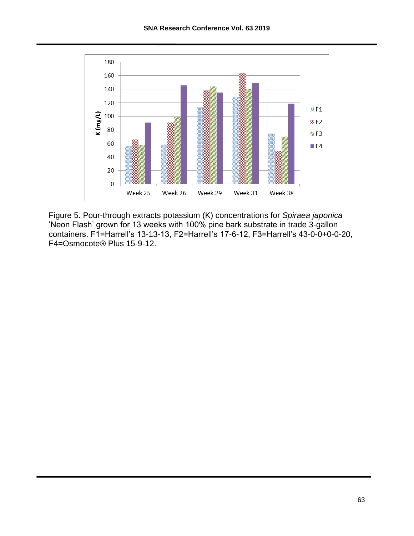

Figure 5. Pour-through extracts potassium (K) concentrations for *Spiraea japonica* 'Neon Flash' grown for 13 weeks with 100% pine bark substrate in trade 3-gallon containers. F1=Harrell's 13-13-13, F2=Harrell's 17-6-12, F3=Harrell's 43-0-0+0-0-20, F4=Osmocote® Plus 15-9-12.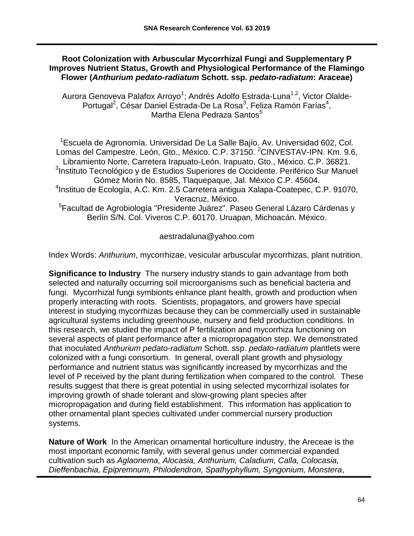#### **Root Colonization with Arbuscular Mycorrhizal Fungi and Supplementary P Improves Nutrient Status, Growth and Physiological Performance of the Flamingo Flower (***Anthurium pedato-radiatum* **Schott. ssp.** *pedato-radiatum***: Araceae)**

Aurora Genoveva Palafox Arroyo<sup>1</sup>; Andrés Adolfo Estrada-Luna<sup>1,2</sup>, Victor Olalde-Portugal<sup>2</sup>, César Daniel Estrada-De La Rosa<sup>3</sup>, Feliza Ramón Farías<sup>4</sup>, Martha Elena Pedraza Santos<sup>5</sup>

<sup>1</sup>Escuela de Agronomía. Universidad De La Salle Bajío. Av. Universidad 602, Col. Lomas del Campestre. León, Gto., México. C.P. 37150. <sup>2</sup>CINVESTAV-IPN. Km. 9.6, Libramiento Norte, Carretera Irapuato-León. Irapuato, Gto., México. C.P. 36821. <sup>3</sup>Instituto Tecnológico y de Estudios Superiores de Occidente. Periférico Sur Manuel Gómez Morín No. 8585, Tlaquepaque, Jal. México C.P. 45604. 4 Instituo de Ecología, A.C. Km. 2.5 Carretera antigua Xalapa-Coatepec, C.P. 91070, Veracruz, México. <sup>5</sup>Facultad de Agrobiología "Presidente Juárez". Paseo General Lázaro Cárdenas y Berlín S/N. Col. Viveros C.P. 60170. Uruapan, Michoacán. México.

aestradaluna@yahoo.com

Index Words: *Anthurium*, mycorrhizae, vesicular arbuscular mycorrhizas, plant nutrition.

**Significance to Industry** The nursery industry stands to gain advantage from both selected and naturally occurring soil microorganisms such as beneficial bacteria and fungi. Mycorrhizal fungi symbionts enhance plant health, growth and production when properly interacting with roots. Scientists, propagators, and growers have special interest in studying mycorrhizas because they can be commercially used in sustainable agricultural systems including greenhouse, nursery and field production conditions. In this research, we studied the impact of P fertilization and mycorrhiza functioning on several aspects of plant performance after a micropropagation step. We demonstrated that inoculated *Anthurium pedato-radiatum* Schott. ssp. *pedato-radiatum* plantlets were colonized with a fungi consortium. In general, overall plant growth and physiology performance and nutrient status was significantly increased by mycorrhizas and the level of P received by the plant during fertilization when compared to the control. These results suggest that there is great potential in using selected mycorrhizal isolates for improving growth of shade tolerant and slow-growing plant species after micropropagation and during field establishment. This information has application to other ornamental plant species cultivated under commercial nursery production systems.

**Nature of Work** In the American ornamental horticulture industry, the Areceae is the most important economic family, with several genus under commercial expanded cultivation such as *Aglaonema, Alocasia, Anthurium, Caladium, Calla, Colocasia, Dieffenbachia, Epipremnum, Philodendron, Spathyphyllum, Syngonium, Monstera*,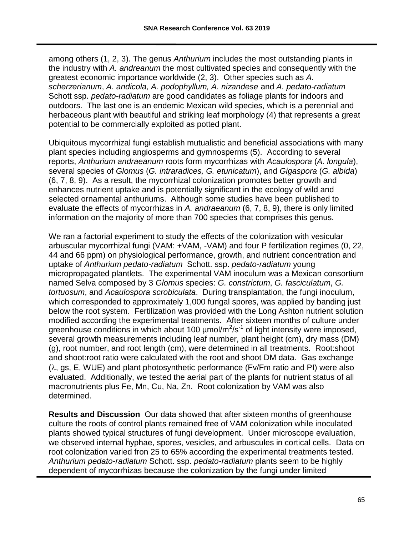among others (1, 2, 3). The genus *Anthurium* includes the most outstanding plants in the industry with *A. andreanum* the most cultivated species and consequently with the greatest economic importance worldwide (2, 3). Other species such as *A. scherzerianum*, *A. andicola, A. podophyllum, A. nizandese* and *A. pedato-radiatum*  Schott ssp*. pedato-radiatum* are good candidates as foliage plants for indoors and outdoors. The last one is an endemic Mexican wild species, which is a perennial and herbaceous plant with beautiful and striking leaf morphology (4) that represents a great potential to be commercially exploited as potted plant.

Ubiquitous mycorrhizal fungi establish mutualistic and beneficial associations with many plant species including angiosperms and gymnosperms (5). According to several reports, *Anthurium andraeanum* roots form mycorrhizas with *Acaulospora* (*A. longula*), several species of *Glomus* (*G. intraradices, G. etunicatum*), and *Gigaspora* (*G. albida*) (6, 7, 8, 9). As a result, the mycorrhizal colonization promotes better growth and enhances nutrient uptake and is potentially significant in the ecology of wild and selected ornamental anthuriums. Although some studies have been published to evaluate the effects of mycorrhizas in *A. andraeanum* (6, 7, 8, 9), there is only limited information on the majority of more than 700 species that comprises this genus.

We ran a factorial experiment to study the effects of the colonization with vesicular arbuscular mycorrhizal fungi (VAM: +VAM, -VAM) and four P fertilization regimes (0, 22, 44 and 66 ppm) on physiological performance, growth, and nutrient concentration and uptake of *Anthurium pedato-radiatum* Schott. ssp. *pedato-radiatum* young micropropagated plantlets. The experimental VAM inoculum was a Mexican consortium named Selva composed by 3 *Glomus* species: *G. constrictum*, *G. fasciculatum*, *G. tortuosum*, and *Acaulospora scrobiculata*. During transplantation, the fungi inoculum, which corresponded to approximately 1,000 fungal spores, was applied by banding just below the root system. Fertilization was provided with the Long Ashton nutrient solution modified according the experimental treatments. After sixteen months of culture under greenhouse conditions in which about 100  $\mu$ mol/m<sup>2</sup>/s<sup>-1</sup> of light intensity were imposed, several growth measurements including leaf number, plant height (cm), dry mass (DM) (g), root number, and root length (cm), were determined in all treatments. Root:shoot and shoot:root ratio were calculated with the root and shoot DM data. Gas exchange  $(\lambda, g_s, E, WUE)$  and plant photosynthetic performance (Fv/Fm ratio and PI) were also evaluated. Additionally, we tested the aerial part of the plants for nutrient status of all macronutrients plus Fe, Mn, Cu, Na, Zn. Root colonization by VAM was also determined.

**Results and Discussion** Our data showed that after sixteen months of greenhouse culture the roots of control plants remained free of VAM colonization while inoculated plants showed typical structures of fungi development. Under microscope evaluation, we observed internal hyphae, spores, vesicles, and arbuscules in cortical cells. Data on root colonization varied fron 25 to 65% according the experimental treatments tested. *Anthurium pedato-radiatum* Schott. ssp. *pedato-radiatum* plants seem to be highly dependent of mycorrhizas because the colonization by the fungi under limited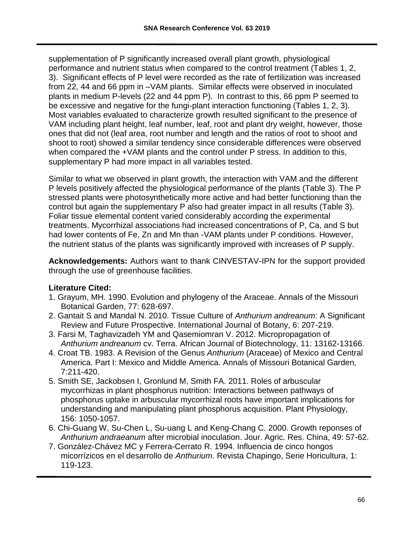supplementation of P significantly increased overall plant growth, physiological performance and nutrient status when compared to the control treatment (Tables 1, 2, 3). Significant effects of P level were recorded as the rate of fertilization was increased from 22, 44 and 66 ppm in –VAM plants. Similar effects were observed in inoculated plants in medium P-levels (22 and 44 ppm P). In contrast to this, 66 ppm P seemed to be excessive and negative for the fungi-plant interaction functioning (Tables 1, 2, 3). Most variables evaluated to characterize growth resulted significant to the presence of VAM including plant height, leaf number, leaf, root and plant dry weight, however, those ones that did not (leaf area, root number and length and the ratios of root to shoot and shoot to root) showed a similar tendency since considerable differences were observed when compared the +VAM plants and the control under P stress. In addition to this, supplementary P had more impact in all variables tested.

Similar to what we observed in plant growth, the interaction with VAM and the different P levels positively affected the physiological performance of the plants (Table 3). The P stressed plants were photosynthetically more active and had better functioning than the control but again the supplementary P also had greater impact in all results (Table 3). Foliar tissue elemental content varied considerably according the experimental treatments. Mycorrhizal associations had increased concentrations of P, Ca, and S but had lower contents of Fe, Zn and Mn than -VAM plants under P conditions. However, the nutrient status of the plants was significantly improved with increases of P supply.

**Acknowledgements:** Authors want to thank CINVESTAV-IPN for the support provided through the use of greenhouse facilities.

# **Literature Cited:**

- 1. Grayum, MH. 1990. Evolution and phylogeny of the Araceae. Annals of the Missouri Botanical Garden, 77: 628-697.
- 2. Gantait S and Mandal N. 2010. Tissue Culture of *Anthurium andreanum*: A Significant Review and Future Prospective. International Journal of Botany, 6: 207-219.
- 3. Farsi M, Taghavizadeh YM and Qasemiomran V. 2012. Micropropagation of *Anthurium andreanum* cv. Terra. African Journal of Biotechnology, 11: 13162-13166.
- 4. Croat TB. 1983. A Revision of the Genus *Anthurium* (Araceae) of Mexico and Central America. Part I: Mexico and Middle America. Annals of Missouri Botanical Garden, 7:211-420.
- 5. Smith SE, Jackobsen I, Gronlund M, Smith FA. 2011. Roles of arbuscular mycorrhizas in plant phosphorus nutrition: Interactions between pathways of phosphorus uptake in arbuscular mycorrhizal roots have important implications for understanding and manipulating plant phosphorus acquisition. Plant Physiology, 156: 1050-1057.
- 6. Chi-Guang W, Su-Chen L, Su-uang L and Keng-Chang C. 2000. Growth reponses of *Anthurium andraeanum* after microbial inoculation. Jour. Agric. Res. China, 49: 57-62.
- 7. González-Chávez MC y Ferrera-Cerrato R. 1994. Influencia de cinco hongos micorrízicos en el desarrollo de *Anthurium*. Revista Chapingo, Serie Horicultura, 1: 119-123.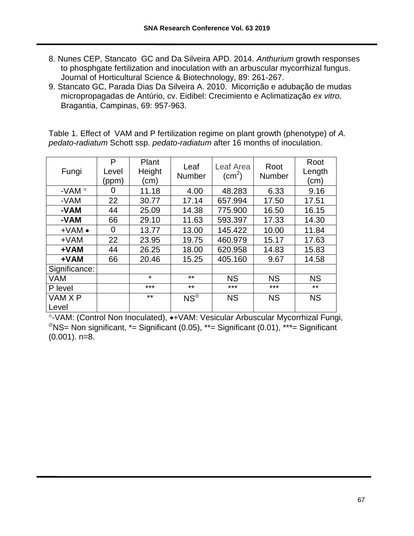- 8. Nunes CEP, Stancato GC and Da Silveira APD. 2014. *Anthurium* growth responses to phosphgate fertilization and inoculation with an arbuscular mycorrhizal fungus. Journal of Horticultural Science & Biotechnology, 89: 261-267.
- 9. Stancato GC, Parada Dias Da Silveira A. 2010. Micorrição e adubação de mudas micropropagadas de Antúrio, cv. Eidibel: Crecimiento e Aclimatização *ex vitro.*  Bragantia, Campinas, 69: 957-963.

Table 1. Effect of VAM and P fertilization regime on plant growth (phenotype) of *A. pedato-radiatum* Schott ssp*. pedato-radiatum* after 16 months of inoculation.

| Fungi            | P<br>Level<br>(ppm) | Plant<br>Height<br>(cm) | Leaf<br><b>Number</b> | Leaf Area<br>$\rm (cm^2)$ | Root<br><b>Number</b> | Root<br>Length<br>(cm) |
|------------------|---------------------|-------------------------|-----------------------|---------------------------|-----------------------|------------------------|
| -VAM $^{\circ}$  | 0                   | 11.18                   | 4.00                  | 48.283                    | 6.33                  | 9.16                   |
| -VAM             | 22                  | 30.77                   | 17.14                 | 657.994                   | 17.50                 | 17.51                  |
| -VAM             | 44                  | 25.09                   | 14.38                 | 775.900                   | 16.50                 | 16.15                  |
| -VAM             | 66                  | 29.10                   | 11.63                 | 593.397                   | 17.33                 | 14.30                  |
| $+VAM$ $\bullet$ | 0                   | 13.77                   | 13.00                 | 145.422                   | 10.00                 | 11.84                  |
| $+VAM$           | 22                  | 23.95                   | 19.75                 | 460.979                   | 15.17                 | 17.63                  |
| +VAM             | 44                  | 26.25                   | 18.00                 | 620.958                   | 14.83                 | 15.83                  |
| $+VAM$           | 66                  | 20.46                   | 15.25                 | 405.160                   | 9.67                  | 14.58                  |
| Significance:    |                     |                         |                       |                           |                       |                        |
| <b>VAM</b>       |                     | $\star$                 | $***$                 | <b>NS</b>                 | <b>NS</b>             | <b>NS</b>              |
| P level          |                     | ***                     | $***$                 | ***                       | ***                   | $***$                  |
| VAM X P          |                     | $***$                   | $NS^{\oplus}$         | <b>NS</b>                 | <b>NS</b>             | <b>NS</b>              |
| Level            |                     |                         |                       |                           |                       |                        |

°-VAM: (Control Non Inoculated), •+VAM: Vesicular Arbuscular Mycorrhizal Fungi,  $\text{PNS}=$  Non significant,  $\text{*}=$  Significant (0.05),  $\text{*}=$  Significant (0.01),  $\text{***}=$  Significant  $(0.001)$ . n=8.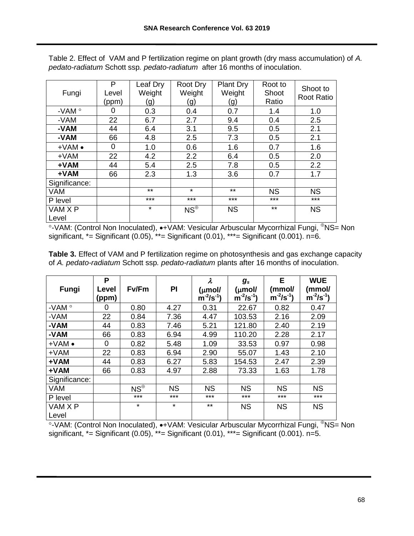| Fungi            | P<br>Level<br>(ppm) | Leaf Dry<br>Weight<br>(g) | Root Dry<br>Weight<br>(g) | <b>Plant Dry</b><br>Weight<br>(g) | Root to<br>Shoot<br>Ratio | Shoot to<br><b>Root Ratio</b> |
|------------------|---------------------|---------------------------|---------------------------|-----------------------------------|---------------------------|-------------------------------|
| -VAM $\degree$   | 0                   | 0.3                       | 0.4                       | 0.7                               | 1.4                       | 1.0                           |
| -VAM             | 22                  | 6.7                       | 2.7                       | 9.4                               | 0.4                       | 2.5                           |
| -VAM             | 44                  | 6.4                       | 3.1                       | 9.5                               | 0.5                       | 2.1                           |
| -VAM             | 66                  | 4.8                       | 2.5                       | 7.3                               | 0.5                       | 2.1                           |
| $+VAM$ $\bullet$ | $\Omega$            | 1.0                       | 0.6                       | 1.6                               | 0.7                       | 1.6                           |
| $+VAM$           | 22                  | 4.2                       | 2.2                       | 6.4                               | 0.5                       | 2.0                           |
| +VAM             | 44                  | 5.4                       | 2.5                       | 7.8                               | 0.5                       | 2.2                           |
| +VAM             | 66                  | 2.3                       | 1.3                       | 3.6                               | 0.7                       | 1.7                           |
| Significance:    |                     |                           |                           |                                   |                           |                               |
| <b>VAM</b>       |                     | $***$                     | $\star$                   | $***$                             | <b>NS</b>                 | <b>NS</b>                     |
| P level          |                     | $***$                     | $***$                     | $***$                             | $***$                     | $***$                         |
| VAM X P<br>Level |                     | $\star$                   | $NS^{\oplus}$             | <b>NS</b>                         | $***$                     | <b>NS</b>                     |
|                  |                     |                           |                           |                                   |                           |                               |

Table 2. Effect of VAM and P fertilization regime on plant growth (dry mass accumulation) of *A. pedato-radiatum* Schott ssp*. pedato-radiatum* after 16 months of inoculation.

°-VAM: (Control Non Inoculated), •+VAM: Vesicular Arbuscular Mycorrhizal Fungi, <sup>⊕</sup>NS= Non significant,  $* =$  Significant (0.05),  $** =$  Significant (0.01),  $*** =$  Significant (0.001). n=6.

| <b>Table 3.</b> Effect of VAM and P fertilization regime on photosynthesis and gas exchange capacity |
|------------------------------------------------------------------------------------------------------|
| of A. pedato-radiatum Schott ssp. pedato-radiatum plants after 16 months of inoculation.             |

| Fungi          | P<br>Level | Fv/Fm         | PI        | $\boldsymbol{\lambda}$<br>$(\mu$ mol/ | $g_s$<br>(µmol/ | Е<br>(mmol/     | <b>WUE</b><br>(mmol/ |
|----------------|------------|---------------|-----------|---------------------------------------|-----------------|-----------------|----------------------|
|                | (ppm)      |               |           | $\sin^{-2}/s^{-1}$                    | $m^2/s^{-1}$    | $m^{-2}/s^{-1}$ | $m^2/s^{-1}$         |
| -VAM $\degree$ | O          | 0.80          | 4.27      | 0.31                                  | 22.67           | 0.82            | 0.47                 |
| -VAM           | 22         | 0.84          | 7.36      | 4.47                                  | 103.53          | 2.16            | 2.09                 |
| -VAM           | 44         | 0.83          | 7.46      | 5.21                                  | 121.80          | 2.40            | 2.19                 |
| -VAM           | 66         | 0.83          | 6.94      | 4.99                                  | 110.20          | 2.28            | 2.17                 |
| $+VAM \bullet$ | 0          | 0.82          | 5.48      | 1.09                                  | 33.53           | 0.97            | 0.98                 |
| $+VAM$         | 22         | 0.83          | 6.94      | 2.90                                  | 55.07           | 1.43            | 2.10                 |
| +VAM           | 44         | 0.83          | 6.27      | 5.83                                  | 154.53          | 2.47            | 2.39                 |
| +VAM           | 66         | 0.83          | 4.97      | 2.88                                  | 73.33           | 1.63            | 1.78                 |
| Significance:  |            |               |           |                                       |                 |                 |                      |
| <b>VAM</b>     |            | $NS^{\oplus}$ | <b>NS</b> | <b>NS</b>                             | <b>NS</b>       | <b>NS</b>       | <b>NS</b>            |
| P level        |            | $***$         | $***$     | $***$                                 | ***             | $***$           | $***$                |
| VAM X P        |            | $\star$       | $\star$   | $***$                                 | <b>NS</b>       | <b>NS</b>       | <b>NS</b>            |
| Level          |            |               |           |                                       |                 |                 |                      |

°-VAM: (Control Non Inoculated), •+VAM: Vesicular Arbuscular Mycorrhizal Fungi, <sup>⊕</sup>NS= Non significant, \*= Significant (0.05), \*\*= Significant (0.01), \*\*\*= Significant (0.001). n=5.